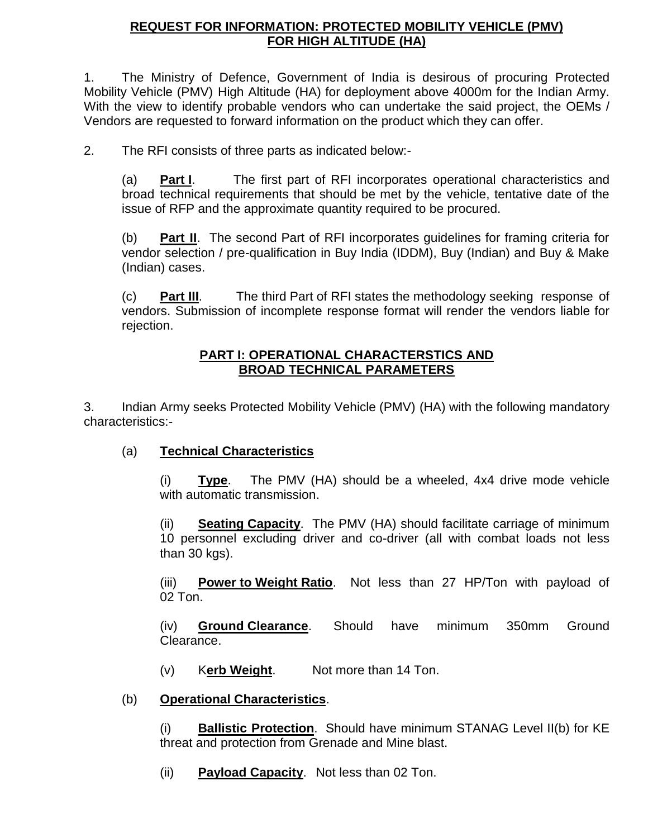#### **REQUEST FOR INFORMATION: PROTECTED MOBILITY VEHICLE (PMV) FOR HIGH ALTITUDE (HA)**

1. The Ministry of Defence, Government of India is desirous of procuring Protected Mobility Vehicle (PMV) High Altitude (HA) for deployment above 4000m for the Indian Army. With the view to identify probable vendors who can undertake the said project, the OEMs / Vendors are requested to forward information on the product which they can offer.

2. The RFI consists of three parts as indicated below:-

(a) **Part I**. The first part of RFI incorporates operational characteristics and broad technical requirements that should be met by the vehicle, tentative date of the issue of RFP and the approximate quantity required to be procured.

(b) **Part II**. The second Part of RFI incorporates guidelines for framing criteria for vendor selection / pre-qualification in Buy India (IDDM), Buy (Indian) and Buy & Make (Indian) cases.

(c) **Part III**. The third Part of RFI states the methodology seeking response of vendors. Submission of incomplete response format will render the vendors liable for rejection.

#### **PART I: OPERATIONAL CHARACTERSTICS AND BROAD TECHNICAL PARAMETERS**

3. Indian Army seeks Protected Mobility Vehicle (PMV) (HA) with the following mandatory characteristics:-

(a) **Technical Characteristics**

(i) **Type**. The PMV (HA) should be a wheeled, 4x4 drive mode vehicle with automatic transmission.

(ii) **Seating Capacity**. The PMV (HA) should facilitate carriage of minimum 10 personnel excluding driver and co-driver (all with combat loads not less than 30 kgs).

(iii) **Power to Weight Ratio**. Not less than 27 HP/Ton with payload of 02 Ton.

(iv) **Ground Clearance**. Should have minimum 350mm Ground Clearance.

- (v) K**erb Weight**. Not more than 14 Ton.
- (b) **Operational Characteristics**.

(i) **Ballistic Protection**. Should have minimum STANAG Level II(b) for KE threat and protection from Grenade and Mine blast.

(ii) **Payload Capacity**. Not less than 02 Ton.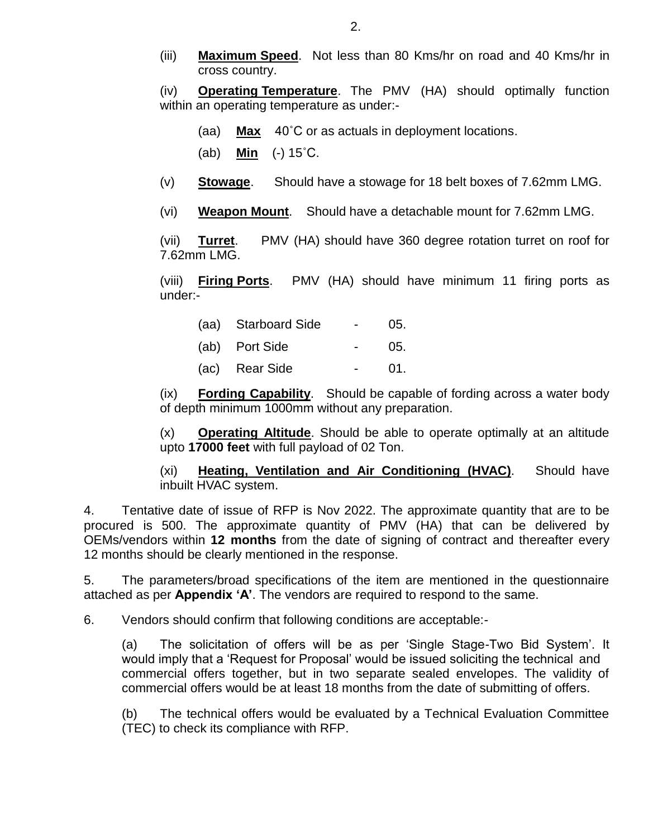(iii) **Maximum Speed**. Not less than 80 Kms/hr on road and 40 Kms/hr in cross country.

(iv) **Operating Temperature**. The PMV (HA) should optimally function within an operating temperature as under:-

- (aa) **Max** 40˚C or as actuals in deployment locations.
- (ab) **Min** (-) 15˚C.
- (v) **Stowage**. Should have a stowage for 18 belt boxes of 7.62mm LMG.
- (vi) **Weapon Mount**. Should have a detachable mount for 7.62mm LMG.

(vii) **Turret**. PMV (HA) should have 360 degree rotation turret on roof for 7.62mm LMG.

(viii) **Firing Ports**. PMV (HA) should have minimum 11 firing ports as under:-

| (aa) Starboard Side | (15) |
|---------------------|------|
| (ab) Port Side      | 05.  |
| (ac) Rear Side      | 01.  |

(ix) **Fording Capability**. Should be capable of fording across a water body of depth minimum 1000mm without any preparation.

(x) **Operating Altitude**. Should be able to operate optimally at an altitude upto **17000 feet** with full payload of 02 Ton.

(xi) **Heating, Ventilation and Air Conditioning (HVAC)**. Should have inbuilt HVAC system.

4. Tentative date of issue of RFP is Nov 2022. The approximate quantity that are to be procured is 500. The approximate quantity of PMV (HA) that can be delivered by OEMs/vendors within **12 months** from the date of signing of contract and thereafter every 12 months should be clearly mentioned in the response.

5. The parameters/broad specifications of the item are mentioned in the questionnaire attached as per **Appendix 'A'**. The vendors are required to respond to the same.

6. Vendors should confirm that following conditions are acceptable:-

(a) The solicitation of offers will be as per 'Single Stage-Two Bid System'. It would imply that a 'Request for Proposal' would be issued soliciting the technical and commercial offers together, but in two separate sealed envelopes. The validity of commercial offers would be at least 18 months from the date of submitting of offers.

(b) The technical offers would be evaluated by a Technical Evaluation Committee (TEC) to check its compliance with RFP.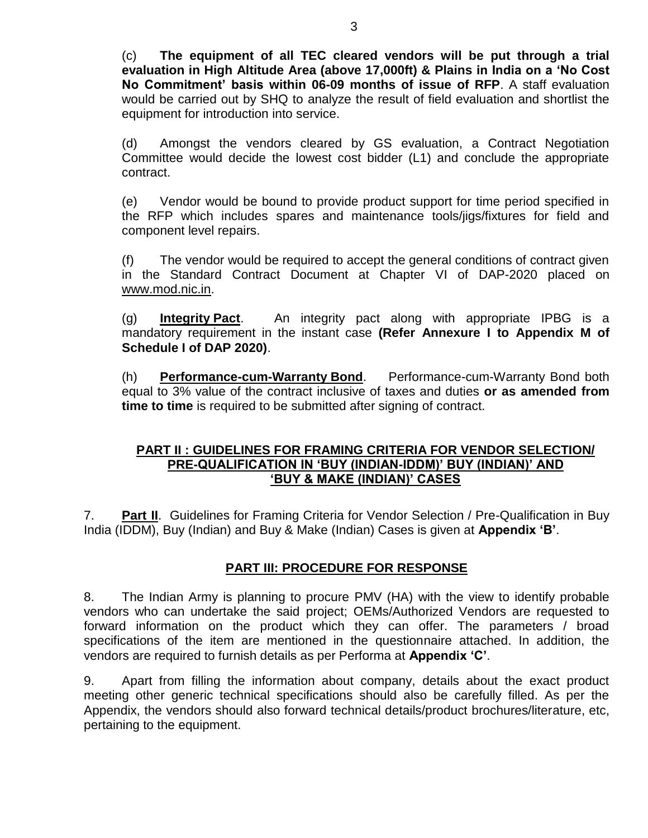(c) **The equipment of all TEC cleared vendors will be put through a trial evaluation in High Altitude Area (above 17,000ft) & Plains in India on a 'No Cost No Commitment' basis within 06-09 months of issue of RFP**. A staff evaluation would be carried out by SHQ to analyze the result of field evaluation and shortlist the equipment for introduction into service.

(d) Amongst the vendors cleared by GS evaluation, a Contract Negotiation Committee would decide the lowest cost bidder (L1) and conclude the appropriate contract.

(e) Vendor would be bound to provide product support for time period specified in the RFP which includes spares and maintenance tools/jigs/fixtures for field and component level repairs.

(f) The vendor would be required to accept the general conditions of contract given in the Standard Contract Document at Chapter VI of DAP-2020 placed on [www.mod.nic.in.](http://www.mod.nic.in/)

(g) **Integrity Pact**. An integrity pact along with appropriate IPBG is a mandatory requirement in the instant case **(Refer Annexure I to Appendix M of Schedule I of DAP 2020)**.

(h) **Performance-cum-Warranty Bond**. Performance-cum-Warranty Bond both equal to 3% value of the contract inclusive of taxes and duties **or as amended from time to time** is required to be submitted after signing of contract.

#### **PART II : GUIDELINES FOR FRAMING CRITERIA FOR VENDOR SELECTION/ PRE-QUALIFICATION IN 'BUY (INDIAN-IDDM)' BUY (INDIAN)' AND 'BUY & MAKE (INDIAN)' CASES**

7. **Part II**. Guidelines for Framing Criteria for Vendor Selection / Pre-Qualification in Buy India (IDDM), Buy (Indian) and Buy & Make (Indian) Cases is given at **Appendix 'B'**.

#### **PART III: PROCEDURE FOR RESPONSE**

8. The Indian Army is planning to procure PMV (HA) with the view to identify probable vendors who can undertake the said project; OEMs/Authorized Vendors are requested to forward information on the product which they can offer. The parameters / broad specifications of the item are mentioned in the questionnaire attached. In addition, the vendors are required to furnish details as per Performa at **Appendix 'C'**.

9. Apart from filling the information about company, details about the exact product meeting other generic technical specifications should also be carefully filled. As per the Appendix, the vendors should also forward technical details/product brochures/literature, etc, pertaining to the equipment.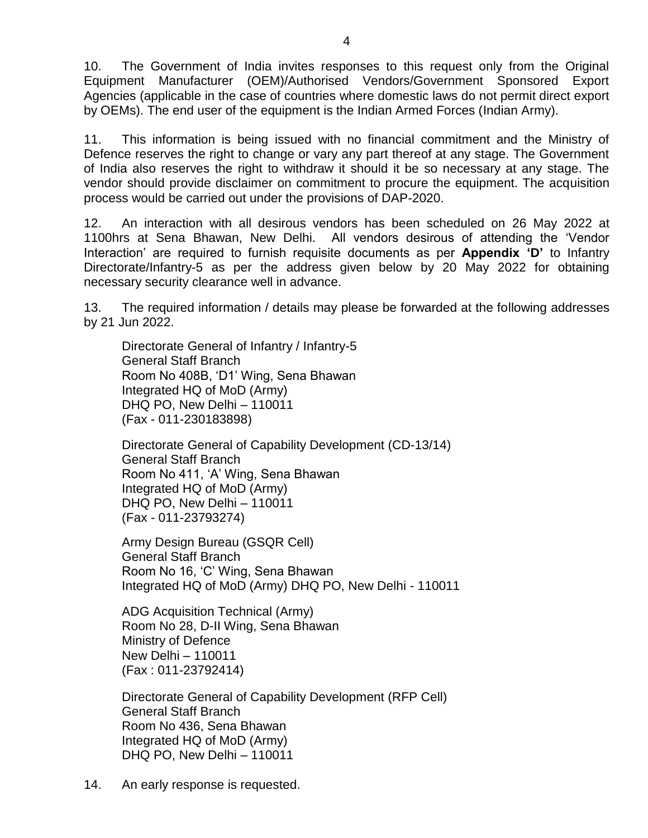10. The Government of India invites responses to this request only from the Original Equipment Manufacturer (OEM)/Authorised Vendors/Government Sponsored Export Agencies (applicable in the case of countries where domestic laws do not permit direct export by OEMs). The end user of the equipment is the Indian Armed Forces (Indian Army).

11. This information is being issued with no financial commitment and the Ministry of Defence reserves the right to change or vary any part thereof at any stage. The Government of India also reserves the right to withdraw it should it be so necessary at any stage. The vendor should provide disclaimer on commitment to procure the equipment. The acquisition process would be carried out under the provisions of DAP-2020.

12. An interaction with all desirous vendors has been scheduled on 26 May 2022 at 1100hrs at Sena Bhawan, New Delhi. All vendors desirous of attending the 'Vendor Interaction' are required to furnish requisite documents as per **Appendix 'D'** to Infantry Directorate/Infantry-5 as per the address given below by 20 May 2022 for obtaining necessary security clearance well in advance.

13. The required information / details may please be forwarded at the following addresses by 21 Jun 2022.

Directorate General of Infantry / Infantry-5 General Staff Branch Room No 408B, 'D1' Wing, Sena Bhawan Integrated HQ of MoD (Army) DHQ PO, New Delhi – 110011 (Fax - 011-230183898)

Directorate General of Capability Development (CD-13/14) General Staff Branch Room No 411, 'A' Wing, Sena Bhawan Integrated HQ of MoD (Army) DHQ PO, New Delhi – 110011 (Fax - 011-23793274)

Army Design Bureau (GSQR Cell) General Staff Branch Room No 16, 'C' Wing, Sena Bhawan Integrated HQ of MoD (Army) DHQ PO, New Delhi - 110011

ADG Acquisition Technical (Army) Room No 28, D-II Wing, Sena Bhawan Ministry of Defence New Delhi – 110011 (Fax : 011-23792414)

Directorate General of Capability Development (RFP Cell) General Staff Branch Room No 436, Sena Bhawan Integrated HQ of MoD (Army) DHQ PO, New Delhi – 110011

14. An early response is requested.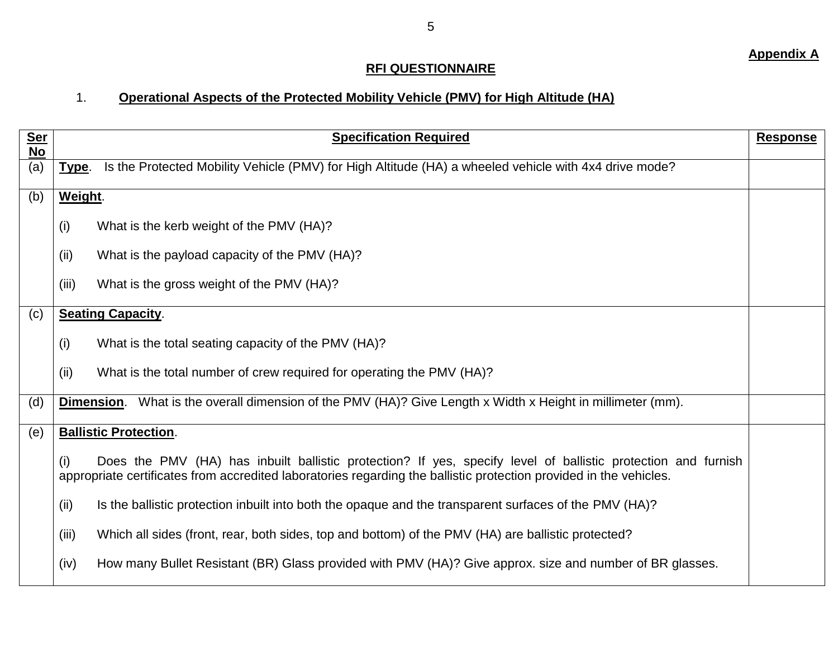## **RFI QUESTIONNAIRE**

#### 1. **Operational Aspects of the Protected Mobility Vehicle (PMV) for High Altitude (HA)**

| Ser<br>No | <b>Specification Required</b>                                                                                                                                                                                                              | <b>Response</b> |
|-----------|--------------------------------------------------------------------------------------------------------------------------------------------------------------------------------------------------------------------------------------------|-----------------|
| (a)       | Is the Protected Mobility Vehicle (PMV) for High Altitude (HA) a wheeled vehicle with 4x4 drive mode?<br>Type.                                                                                                                             |                 |
| (b)       | Weight.                                                                                                                                                                                                                                    |                 |
|           | (i)<br>What is the kerb weight of the PMV (HA)?                                                                                                                                                                                            |                 |
|           | What is the payload capacity of the PMV (HA)?<br>(ii)                                                                                                                                                                                      |                 |
|           | (iii)<br>What is the gross weight of the PMV (HA)?                                                                                                                                                                                         |                 |
| (c)       | <b>Seating Capacity.</b>                                                                                                                                                                                                                   |                 |
|           | What is the total seating capacity of the PMV (HA)?<br>(i)                                                                                                                                                                                 |                 |
|           | What is the total number of crew required for operating the PMV (HA)?<br>(ii)                                                                                                                                                              |                 |
| (d)       | What is the overall dimension of the PMV (HA)? Give Length x Width x Height in millimeter (mm).<br>Dimension.                                                                                                                              |                 |
| (e)       | <b>Ballistic Protection.</b>                                                                                                                                                                                                               |                 |
|           | Does the PMV (HA) has inbuilt ballistic protection? If yes, specify level of ballistic protection and furnish<br>(i)<br>appropriate certificates from accredited laboratories regarding the ballistic protection provided in the vehicles. |                 |
|           | Is the ballistic protection inbuilt into both the opaque and the transparent surfaces of the PMV (HA)?<br>(ii)                                                                                                                             |                 |
|           | (iii)<br>Which all sides (front, rear, both sides, top and bottom) of the PMV (HA) are ballistic protected?                                                                                                                                |                 |
|           | How many Bullet Resistant (BR) Glass provided with PMV (HA)? Give approx. size and number of BR glasses.<br>(iv)                                                                                                                           |                 |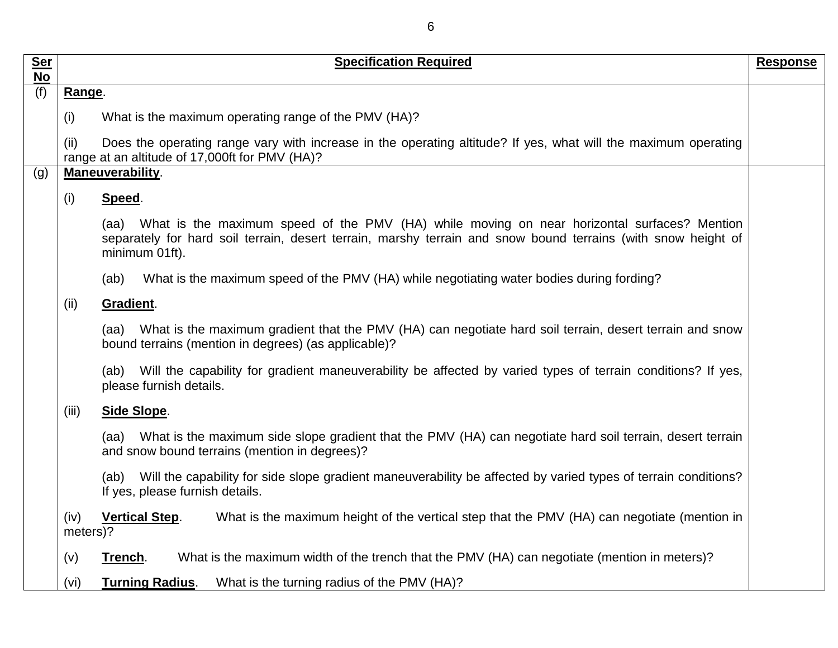| <b>Ser</b><br><b>No</b> | <b>Specification Required</b>                                                                                                                                                                                                       | <b>Response</b> |
|-------------------------|-------------------------------------------------------------------------------------------------------------------------------------------------------------------------------------------------------------------------------------|-----------------|
| (f)                     | Range.                                                                                                                                                                                                                              |                 |
|                         | What is the maximum operating range of the PMV (HA)?<br>(i)                                                                                                                                                                         |                 |
|                         | Does the operating range vary with increase in the operating altitude? If yes, what will the maximum operating<br>(ii)<br>range at an altitude of 17,000ft for PMV (HA)?                                                            |                 |
| (g)                     | Maneuverability.                                                                                                                                                                                                                    |                 |
|                         | Speed.<br>(i)                                                                                                                                                                                                                       |                 |
|                         | (aa) What is the maximum speed of the PMV (HA) while moving on near horizontal surfaces? Mention<br>separately for hard soil terrain, desert terrain, marshy terrain and snow bound terrains (with snow height of<br>minimum 01ft). |                 |
|                         | What is the maximum speed of the PMV (HA) while negotiating water bodies during fording?<br>(ab)                                                                                                                                    |                 |
|                         | Gradient.<br>(ii)                                                                                                                                                                                                                   |                 |
|                         | (aa) What is the maximum gradient that the PMV (HA) can negotiate hard soil terrain, desert terrain and snow<br>bound terrains (mention in degrees) (as applicable)?                                                                |                 |
|                         | (ab) Will the capability for gradient maneuverability be affected by varied types of terrain conditions? If yes,<br>please furnish details.                                                                                         |                 |
|                         | Side Slope.<br>(iii)                                                                                                                                                                                                                |                 |
|                         | What is the maximum side slope gradient that the PMV (HA) can negotiate hard soil terrain, desert terrain<br>(aa)<br>and snow bound terrains (mention in degrees)?                                                                  |                 |
|                         | Will the capability for side slope gradient maneuverability be affected by varied types of terrain conditions?<br>(ab)<br>If yes, please furnish details.                                                                           |                 |
|                         | What is the maximum height of the vertical step that the PMV (HA) can negotiate (mention in<br>(iv)<br><b>Vertical Step.</b><br>meters)?                                                                                            |                 |
|                         | What is the maximum width of the trench that the PMV (HA) can negotiate (mention in meters)?<br>(v)<br>Trench.                                                                                                                      |                 |
|                         | <b>Turning Radius.</b><br>What is the turning radius of the PMV (HA)?<br>(vi)                                                                                                                                                       |                 |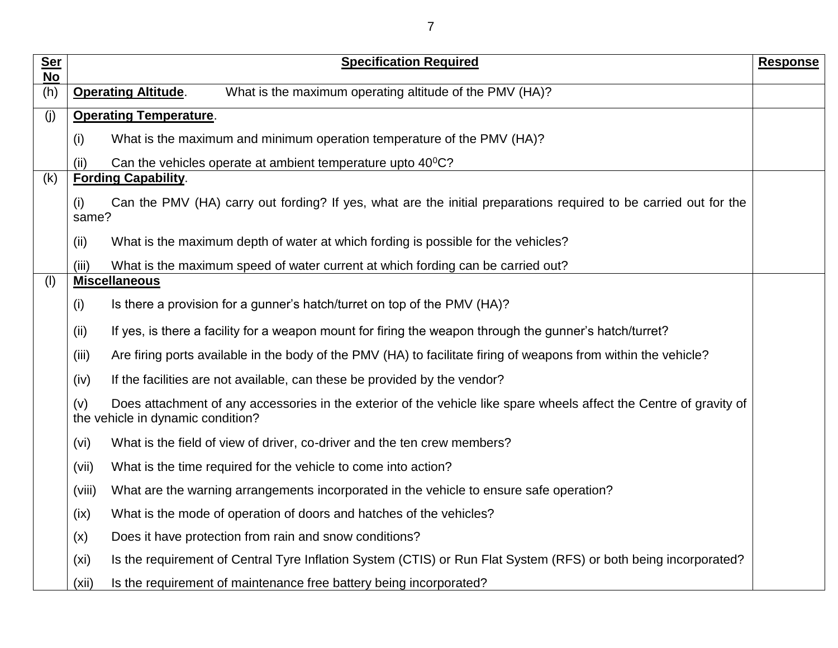| <b>Ser</b><br><b>No</b> | <b>Specification Required</b>                                                                                                                                   | <b>Response</b> |
|-------------------------|-----------------------------------------------------------------------------------------------------------------------------------------------------------------|-----------------|
| (h)                     | What is the maximum operating altitude of the PMV (HA)?<br><b>Operating Altitude.</b>                                                                           |                 |
| (i)                     | <b>Operating Temperature.</b>                                                                                                                                   |                 |
|                         | What is the maximum and minimum operation temperature of the PMV (HA)?<br>(i)                                                                                   |                 |
|                         | Can the vehicles operate at ambient temperature upto 40 <sup>0</sup> C?<br>(ii)                                                                                 |                 |
| (k)                     | <b>Fording Capability.</b>                                                                                                                                      |                 |
|                         | Can the PMV (HA) carry out fording? If yes, what are the initial preparations required to be carried out for the<br>(i)<br>same?                                |                 |
|                         | (ii)<br>What is the maximum depth of water at which fording is possible for the vehicles?                                                                       |                 |
|                         | What is the maximum speed of water current at which fording can be carried out?<br>(iii)                                                                        |                 |
| (1)                     | <b>Miscellaneous</b>                                                                                                                                            |                 |
|                         | Is there a provision for a gunner's hatch/turret on top of the PMV (HA)?<br>(i)                                                                                 |                 |
|                         | If yes, is there a facility for a weapon mount for firing the weapon through the gunner's hatch/turret?<br>(ii)                                                 |                 |
|                         | Are firing ports available in the body of the PMV (HA) to facilitate firing of weapons from within the vehicle?<br>(iii)                                        |                 |
|                         | If the facilities are not available, can these be provided by the vendor?<br>(iv)                                                                               |                 |
|                         | Does attachment of any accessories in the exterior of the vehicle like spare wheels affect the Centre of gravity of<br>(v)<br>the vehicle in dynamic condition? |                 |
|                         | What is the field of view of driver, co-driver and the ten crew members?<br>(vi)                                                                                |                 |
|                         | What is the time required for the vehicle to come into action?<br>(vii)                                                                                         |                 |
|                         | What are the warning arrangements incorporated in the vehicle to ensure safe operation?<br>(viii)                                                               |                 |
|                         | What is the mode of operation of doors and hatches of the vehicles?<br>(ix)                                                                                     |                 |
|                         | Does it have protection from rain and snow conditions?<br>(x)                                                                                                   |                 |
|                         | Is the requirement of Central Tyre Inflation System (CTIS) or Run Flat System (RFS) or both being incorporated?<br>(xi)                                         |                 |
|                         | Is the requirement of maintenance free battery being incorporated?<br>(xii)                                                                                     |                 |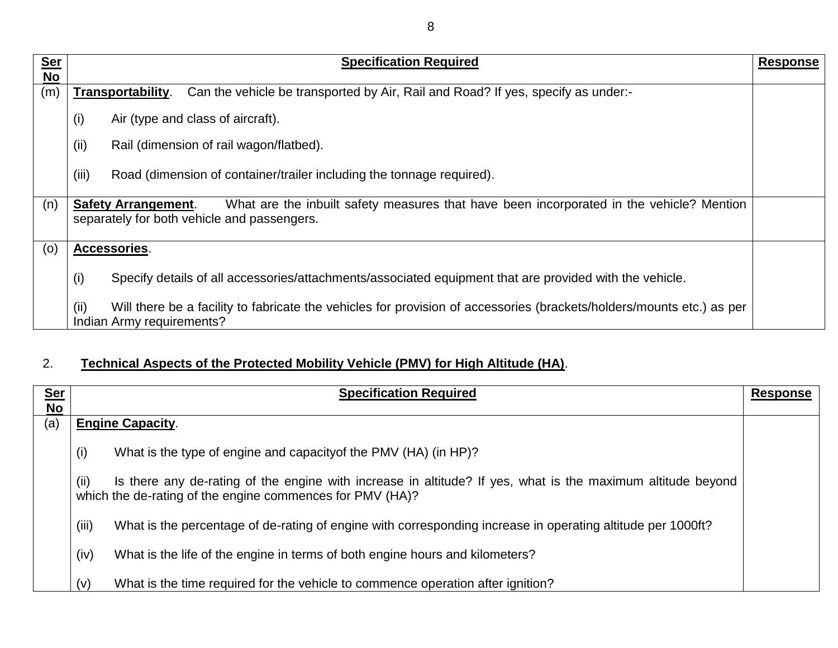| <b>Ser</b> | <b>Specification Required</b>                                                                                                                                         | <b>Response</b> |
|------------|-----------------------------------------------------------------------------------------------------------------------------------------------------------------------|-----------------|
| No         |                                                                                                                                                                       |                 |
| (m)        | Can the vehicle be transported by Air, Rail and Road? If yes, specify as under:-<br>Transportability.                                                                 |                 |
|            | Air (type and class of aircraft).<br>(i)                                                                                                                              |                 |
|            | (ii)<br>Rail (dimension of rail wagon/flatbed).                                                                                                                       |                 |
|            | (iii)<br>Road (dimension of container/trailer including the tonnage required).                                                                                        |                 |
| (n)        | What are the inbuilt safety measures that have been incorporated in the vehicle? Mention<br><b>Safety Arrangement.</b><br>separately for both vehicle and passengers. |                 |
| (0)        | Accessories.                                                                                                                                                          |                 |
|            | (i)<br>Specify details of all accessories/attachments/associated equipment that are provided with the vehicle.                                                        |                 |
|            | (ii)<br>Will there be a facility to fabricate the vehicles for provision of accessories (brackets/holders/mounts etc.) as per<br>Indian Army requirements?            |                 |

## 2. **Technical Aspects of the Protected Mobility Vehicle (PMV) for High Altitude (HA)**.

| <u>Ser</u><br>$No$ | <b>Specification Required</b>                                                                                                                                                    | <b>Response</b> |
|--------------------|----------------------------------------------------------------------------------------------------------------------------------------------------------------------------------|-----------------|
| (a)                | <b>Engine Capacity.</b>                                                                                                                                                          |                 |
|                    | (i)<br>What is the type of engine and capacity of the PMV (HA) (in HP)?                                                                                                          |                 |
|                    | (ii)<br>Is there any de-rating of the engine with increase in altitude? If yes, what is the maximum altitude beyond<br>which the de-rating of the engine commences for PMV (HA)? |                 |
|                    | (iii)<br>What is the percentage of de-rating of engine with corresponding increase in operating altitude per 1000ft?                                                             |                 |
|                    | (iv)<br>What is the life of the engine in terms of both engine hours and kilometers?                                                                                             |                 |
|                    | What is the time required for the vehicle to commence operation after ignition?<br>(v)                                                                                           |                 |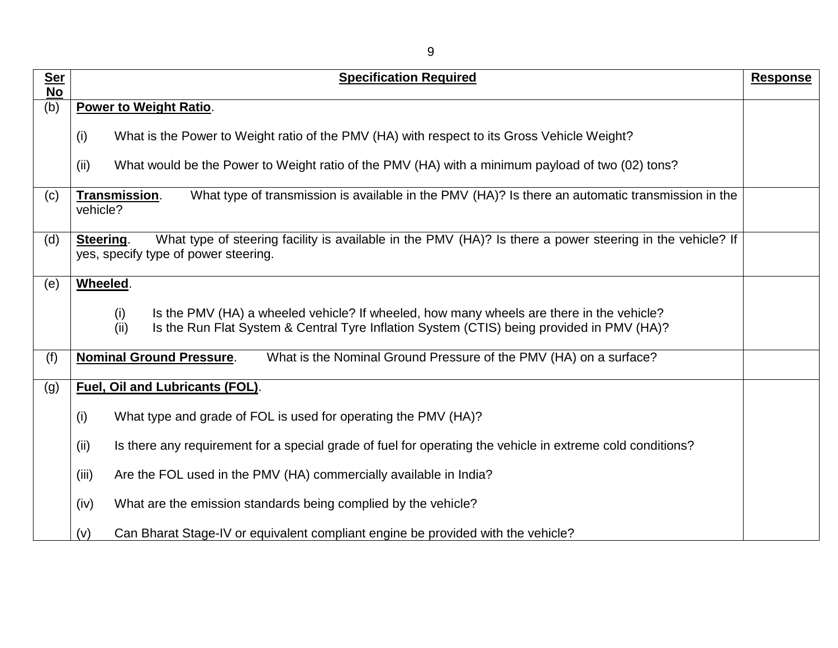| <b>Ser</b><br>$\overline{No}$ | <b>Specification Required</b>                                                                                                                                                                        | <b>Response</b> |
|-------------------------------|------------------------------------------------------------------------------------------------------------------------------------------------------------------------------------------------------|-----------------|
| (b)                           | <b>Power to Weight Ratio.</b>                                                                                                                                                                        |                 |
|                               | (i)<br>What is the Power to Weight ratio of the PMV (HA) with respect to its Gross Vehicle Weight?                                                                                                   |                 |
|                               | What would be the Power to Weight ratio of the PMV (HA) with a minimum payload of two (02) tons?<br>(ii)                                                                                             |                 |
| (c)                           | What type of transmission is available in the PMV (HA)? Is there an automatic transmission in the<br>Transmission.<br>vehicle?                                                                       |                 |
| (d)                           | What type of steering facility is available in the PMV (HA)? Is there a power steering in the vehicle? If<br>Steering.<br>yes, specify type of power steering.                                       |                 |
| (e)                           | Wheeled.                                                                                                                                                                                             |                 |
|                               | Is the PMV (HA) a wheeled vehicle? If wheeled, how many wheels are there in the vehicle?<br>(i)<br>Is the Run Flat System & Central Tyre Inflation System (CTIS) being provided in PMV (HA)?<br>(ii) |                 |
| (f)                           | <b>Nominal Ground Pressure.</b><br>What is the Nominal Ground Pressure of the PMV (HA) on a surface?                                                                                                 |                 |
| (g)                           | <b>Fuel, Oil and Lubricants (FOL).</b>                                                                                                                                                               |                 |
|                               | What type and grade of FOL is used for operating the PMV (HA)?<br>(i)                                                                                                                                |                 |
|                               | (ii)<br>Is there any requirement for a special grade of fuel for operating the vehicle in extreme cold conditions?                                                                                   |                 |
|                               | (iii)<br>Are the FOL used in the PMV (HA) commercially available in India?                                                                                                                           |                 |
|                               | What are the emission standards being complied by the vehicle?<br>(iv)                                                                                                                               |                 |
|                               | Can Bharat Stage-IV or equivalent compliant engine be provided with the vehicle?<br>(v)                                                                                                              |                 |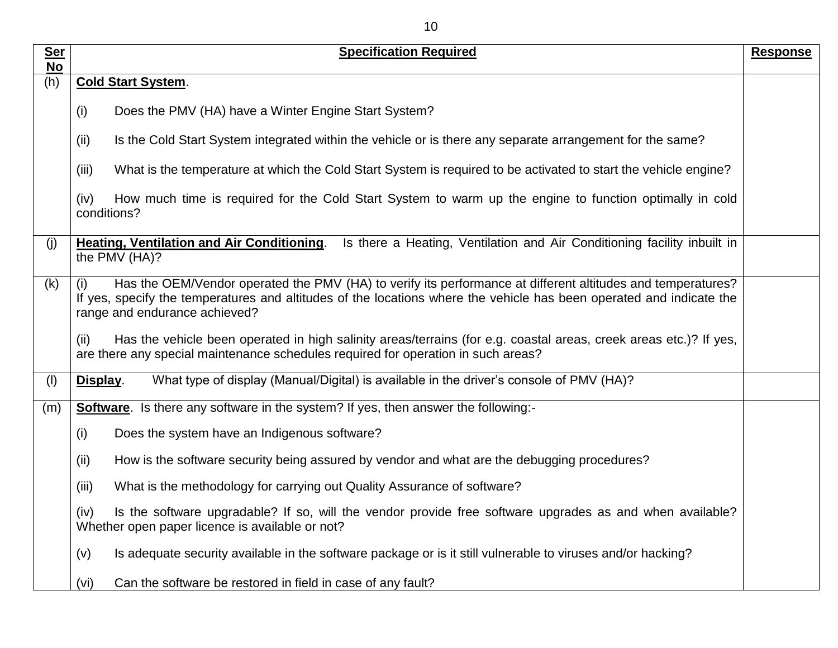| <u>Ser</u>             | <b>Specification Required</b>                                                                                                                                                                                                                                               | <b>Response</b> |
|------------------------|-----------------------------------------------------------------------------------------------------------------------------------------------------------------------------------------------------------------------------------------------------------------------------|-----------------|
| $\overline{No}$<br>(h) | <b>Cold Start System.</b>                                                                                                                                                                                                                                                   |                 |
|                        | (i)<br>Does the PMV (HA) have a Winter Engine Start System?                                                                                                                                                                                                                 |                 |
|                        | Is the Cold Start System integrated within the vehicle or is there any separate arrangement for the same?<br>(ii)                                                                                                                                                           |                 |
|                        | (iii)<br>What is the temperature at which the Cold Start System is required to be activated to start the vehicle engine?                                                                                                                                                    |                 |
|                        | How much time is required for the Cold Start System to warm up the engine to function optimally in cold<br>(iv)<br>conditions?                                                                                                                                              |                 |
| (j)                    | Heating, Ventilation and Air Conditioning.<br>Is there a Heating, Ventilation and Air Conditioning facility inbuilt in<br>the PMV (HA)?                                                                                                                                     |                 |
| (k)                    | Has the OEM/Vendor operated the PMV (HA) to verify its performance at different altitudes and temperatures?<br>(i)<br>If yes, specify the temperatures and altitudes of the locations where the vehicle has been operated and indicate the<br>range and endurance achieved? |                 |
|                        | Has the vehicle been operated in high salinity areas/terrains (for e.g. coastal areas, creek areas etc.)? If yes,<br>(ii)<br>are there any special maintenance schedules required for operation in such areas?                                                              |                 |
| (1)                    | What type of display (Manual/Digital) is available in the driver's console of PMV (HA)?<br>Display.                                                                                                                                                                         |                 |
| (m)                    | <b>Software</b> . Is there any software in the system? If yes, then answer the following:-                                                                                                                                                                                  |                 |
|                        | (i)<br>Does the system have an Indigenous software?                                                                                                                                                                                                                         |                 |
|                        | (ii)<br>How is the software security being assured by vendor and what are the debugging procedures?                                                                                                                                                                         |                 |
|                        | (iii)<br>What is the methodology for carrying out Quality Assurance of software?                                                                                                                                                                                            |                 |
|                        | (iv)<br>Is the software upgradable? If so, will the vendor provide free software upgrades as and when available?<br>Whether open paper licence is available or not?                                                                                                         |                 |
|                        | Is adequate security available in the software package or is it still vulnerable to viruses and/or hacking?<br>(v)                                                                                                                                                          |                 |
|                        | Can the software be restored in field in case of any fault?<br>(vi)                                                                                                                                                                                                         |                 |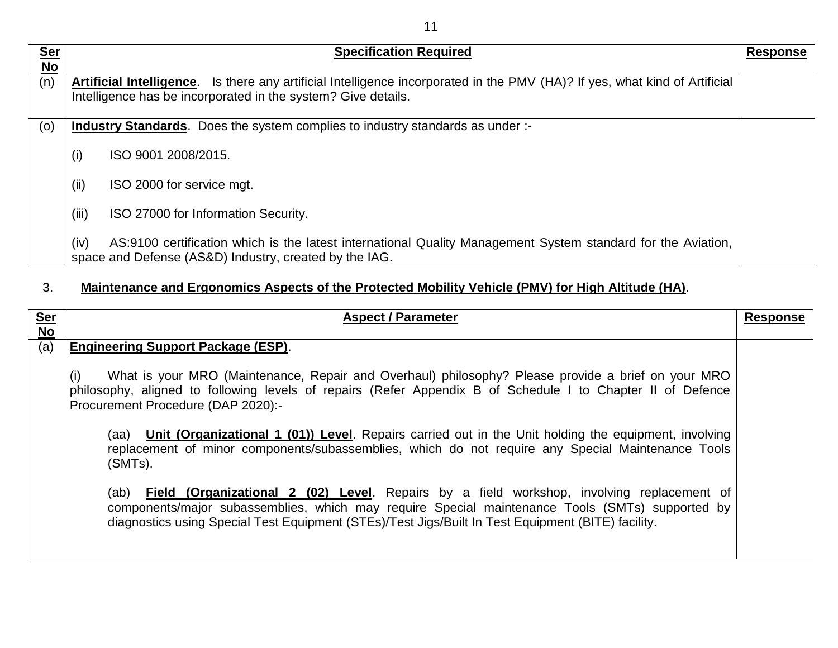| <b>Ser</b><br><b>No</b> |       | <b>Specification Required</b>                                                                                                                                                                | <b>Response</b> |
|-------------------------|-------|----------------------------------------------------------------------------------------------------------------------------------------------------------------------------------------------|-----------------|
| (n)                     |       | Artificial Intelligence. Is there any artificial Intelligence incorporated in the PMV (HA)? If yes, what kind of Artificial<br>Intelligence has be incorporated in the system? Give details. |                 |
| (0)                     |       | <b>Industry Standards.</b> Does the system complies to industry standards as under :-                                                                                                        |                 |
|                         | (i)   | ISO 9001 2008/2015.                                                                                                                                                                          |                 |
|                         | (ii)  | ISO 2000 for service mgt.                                                                                                                                                                    |                 |
|                         | (iii) | ISO 27000 for Information Security.                                                                                                                                                          |                 |
|                         | (iv)  | AS:9100 certification which is the latest international Quality Management System standard for the Aviation,<br>space and Defense (AS&D) Industry, created by the IAG.                       |                 |

## 3. **Maintenance and Ergonomics Aspects of the Protected Mobility Vehicle (PMV) for High Altitude (HA)**.

| Ser<br>No | <b>Aspect / Parameter</b>                                                                                                                                                                                                                                                                                                                                                                                                                                                                                                                                                                                                                                                                                                                                                                                                                                      | <b>Response</b> |
|-----------|----------------------------------------------------------------------------------------------------------------------------------------------------------------------------------------------------------------------------------------------------------------------------------------------------------------------------------------------------------------------------------------------------------------------------------------------------------------------------------------------------------------------------------------------------------------------------------------------------------------------------------------------------------------------------------------------------------------------------------------------------------------------------------------------------------------------------------------------------------------|-----------------|
|           |                                                                                                                                                                                                                                                                                                                                                                                                                                                                                                                                                                                                                                                                                                                                                                                                                                                                |                 |
| (a)       | <b>Engineering Support Package (ESP).</b><br>What is your MRO (Maintenance, Repair and Overhaul) philosophy? Please provide a brief on your MRO<br>(i)<br>philosophy, aligned to following levels of repairs (Refer Appendix B of Schedule I to Chapter II of Defence<br>Procurement Procedure (DAP 2020):-<br>(aa) Unit (Organizational 1 (01)) Level. Repairs carried out in the Unit holding the equipment, involving<br>replacement of minor components/subassemblies, which do not require any Special Maintenance Tools<br>$(SMTs)$ .<br>(ab) <b>Field (Organizational 2 (02) Level</b> . Repairs by a field workshop, involving replacement of<br>components/major subassemblies, which may require Special maintenance Tools (SMTs) supported by<br>diagnostics using Special Test Equipment (STEs)/Test Jigs/Built In Test Equipment (BITE) facility. |                 |
|           |                                                                                                                                                                                                                                                                                                                                                                                                                                                                                                                                                                                                                                                                                                                                                                                                                                                                |                 |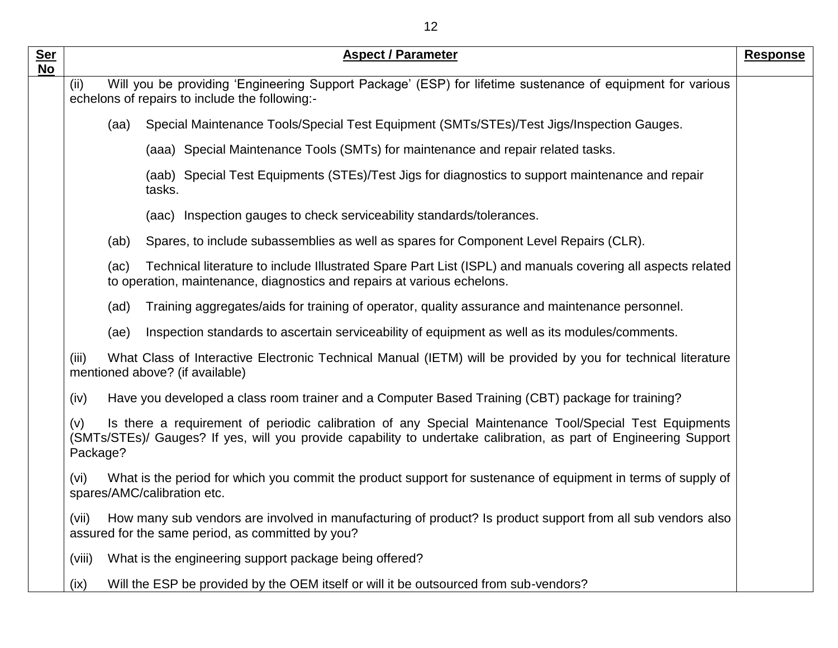| <b>Ser</b><br><b>No</b> | <b>Aspect / Parameter</b>                                                                                                                                                                                                                      | <b>Response</b> |
|-------------------------|------------------------------------------------------------------------------------------------------------------------------------------------------------------------------------------------------------------------------------------------|-----------------|
|                         | Will you be providing 'Engineering Support Package' (ESP) for lifetime sustenance of equipment for various<br>(ii)<br>echelons of repairs to include the following:-                                                                           |                 |
|                         | Special Maintenance Tools/Special Test Equipment (SMTs/STEs)/Test Jigs/Inspection Gauges.<br>(aa)                                                                                                                                              |                 |
|                         | (aaa) Special Maintenance Tools (SMTs) for maintenance and repair related tasks.                                                                                                                                                               |                 |
|                         | (aab) Special Test Equipments (STEs)/Test Jigs for diagnostics to support maintenance and repair<br>tasks.                                                                                                                                     |                 |
|                         | (aac) Inspection gauges to check serviceability standards/tolerances.                                                                                                                                                                          |                 |
|                         | Spares, to include subassemblies as well as spares for Component Level Repairs (CLR).<br>(ab)                                                                                                                                                  |                 |
|                         | Technical literature to include Illustrated Spare Part List (ISPL) and manuals covering all aspects related<br>(ac)<br>to operation, maintenance, diagnostics and repairs at various echelons.                                                 |                 |
|                         | (ad)<br>Training aggregates/aids for training of operator, quality assurance and maintenance personnel.                                                                                                                                        |                 |
|                         | Inspection standards to ascertain serviceability of equipment as well as its modules/comments.<br>(ae)                                                                                                                                         |                 |
|                         | What Class of Interactive Electronic Technical Manual (IETM) will be provided by you for technical literature<br>(iii)<br>mentioned above? (if available)                                                                                      |                 |
|                         | Have you developed a class room trainer and a Computer Based Training (CBT) package for training?<br>(iv)                                                                                                                                      |                 |
|                         | Is there a requirement of periodic calibration of any Special Maintenance Tool/Special Test Equipments<br>(v)<br>(SMTs/STEs)/ Gauges? If yes, will you provide capability to undertake calibration, as part of Engineering Support<br>Package? |                 |
|                         | What is the period for which you commit the product support for sustenance of equipment in terms of supply of<br>(vi)<br>spares/AMC/calibration etc.                                                                                           |                 |
|                         | How many sub vendors are involved in manufacturing of product? Is product support from all sub vendors also<br>(vii)<br>assured for the same period, as committed by you?                                                                      |                 |
|                         | (viii)<br>What is the engineering support package being offered?                                                                                                                                                                               |                 |
|                         | Will the ESP be provided by the OEM itself or will it be outsourced from sub-vendors?<br>(ix)                                                                                                                                                  |                 |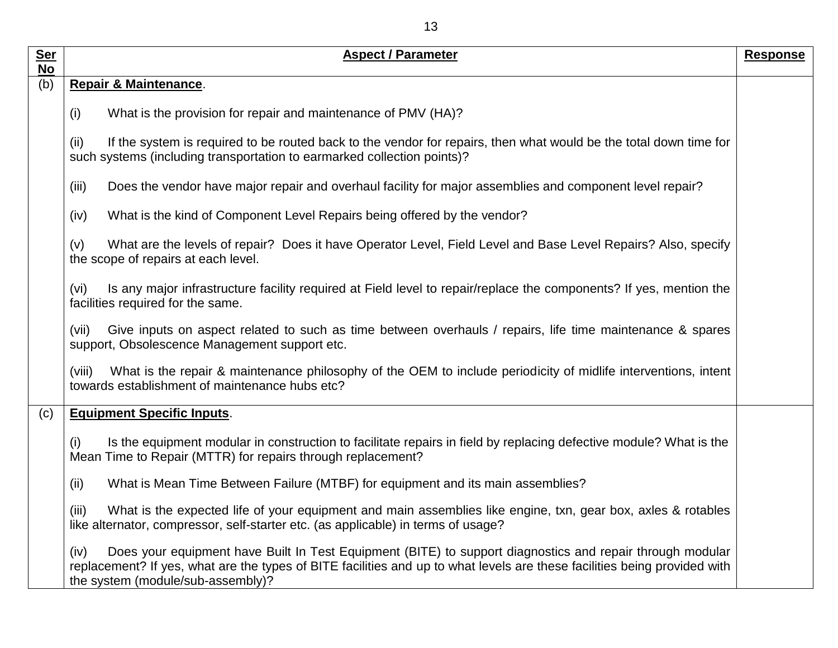| <u>Ser</u><br>$No$ | <b>Aspect / Parameter</b>                                                                                                                                                                                                                                                           | <b>Response</b> |
|--------------------|-------------------------------------------------------------------------------------------------------------------------------------------------------------------------------------------------------------------------------------------------------------------------------------|-----------------|
| (b)                | Repair & Maintenance.                                                                                                                                                                                                                                                               |                 |
|                    | What is the provision for repair and maintenance of PMV (HA)?<br>(i)                                                                                                                                                                                                                |                 |
|                    | If the system is required to be routed back to the vendor for repairs, then what would be the total down time for<br>(ii)<br>such systems (including transportation to earmarked collection points)?                                                                                |                 |
|                    | Does the vendor have major repair and overhaul facility for major assemblies and component level repair?<br>(iii)                                                                                                                                                                   |                 |
|                    | What is the kind of Component Level Repairs being offered by the vendor?<br>(iv)                                                                                                                                                                                                    |                 |
|                    | What are the levels of repair? Does it have Operator Level, Field Level and Base Level Repairs? Also, specify<br>(v)<br>the scope of repairs at each level.                                                                                                                         |                 |
|                    | Is any major infrastructure facility required at Field level to repair/replace the components? If yes, mention the<br>(vi)<br>facilities required for the same.                                                                                                                     |                 |
|                    | Give inputs on aspect related to such as time between overhauls / repairs, life time maintenance & spares<br>(vii)<br>support, Obsolescence Management support etc.                                                                                                                 |                 |
|                    | What is the repair & maintenance philosophy of the OEM to include periodicity of midlife interventions, intent<br>(viii)<br>towards establishment of maintenance hubs etc?                                                                                                          |                 |
| (c)                | <b>Equipment Specific Inputs.</b>                                                                                                                                                                                                                                                   |                 |
|                    | Is the equipment modular in construction to facilitate repairs in field by replacing defective module? What is the<br>(i)<br>Mean Time to Repair (MTTR) for repairs through replacement?                                                                                            |                 |
|                    | (ii)<br>What is Mean Time Between Failure (MTBF) for equipment and its main assemblies?                                                                                                                                                                                             |                 |
|                    | What is the expected life of your equipment and main assemblies like engine, txn, gear box, axles & rotables<br>(iii)<br>like alternator, compressor, self-starter etc. (as applicable) in terms of usage?                                                                          |                 |
|                    | Does your equipment have Built In Test Equipment (BITE) to support diagnostics and repair through modular<br>(iv)<br>replacement? If yes, what are the types of BITE facilities and up to what levels are these facilities being provided with<br>the system (module/sub-assembly)? |                 |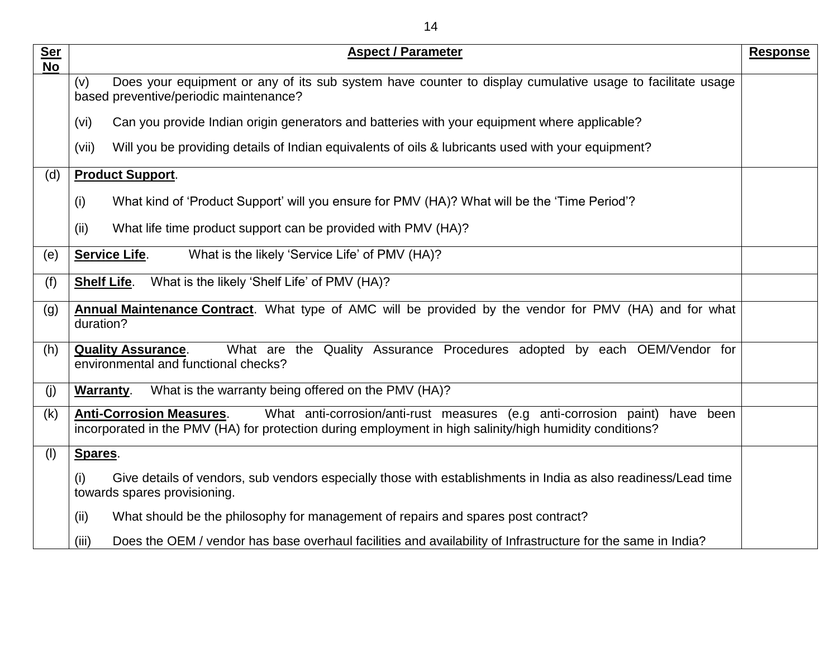| <b>Ser</b><br><b>No</b> | <b>Aspect / Parameter</b>                                                                                                                                                                                                     | <b>Response</b> |
|-------------------------|-------------------------------------------------------------------------------------------------------------------------------------------------------------------------------------------------------------------------------|-----------------|
|                         | Does your equipment or any of its sub system have counter to display cumulative usage to facilitate usage<br>(v)<br>based preventive/periodic maintenance?                                                                    |                 |
|                         | (v <sub>i</sub> )<br>Can you provide Indian origin generators and batteries with your equipment where applicable?                                                                                                             |                 |
|                         | Will you be providing details of Indian equivalents of oils & lubricants used with your equipment?<br>(vii)                                                                                                                   |                 |
| (d)                     | <b>Product Support.</b>                                                                                                                                                                                                       |                 |
|                         | (i)<br>What kind of 'Product Support' will you ensure for PMV (HA)? What will be the 'Time Period'?                                                                                                                           |                 |
|                         | What life time product support can be provided with PMV (HA)?<br>(ii)                                                                                                                                                         |                 |
| (e)                     | What is the likely 'Service Life' of PMV (HA)?<br><b>Service Life.</b>                                                                                                                                                        |                 |
| (f)                     | What is the likely 'Shelf Life' of PMV (HA)?<br><b>Shelf Life.</b>                                                                                                                                                            |                 |
| (g)                     | Annual Maintenance Contract. What type of AMC will be provided by the vendor for PMV (HA) and for what<br>duration?                                                                                                           |                 |
| (h)                     | What are the Quality Assurance Procedures adopted by each OEM/Vendor for<br><b>Quality Assurance.</b><br>environmental and functional checks?                                                                                 |                 |
| (j)                     | What is the warranty being offered on the PMV (HA)?<br>Warranty.                                                                                                                                                              |                 |
| (k)                     | <b>Anti-Corrosion Measures.</b><br>What anti-corrosion/anti-rust measures (e.g anti-corrosion paint)<br>have been<br>incorporated in the PMV (HA) for protection during employment in high salinity/high humidity conditions? |                 |
| (1)                     | Spares.                                                                                                                                                                                                                       |                 |
|                         | (i)<br>Give details of vendors, sub vendors especially those with establishments in India as also readiness/Lead time<br>towards spares provisioning.                                                                         |                 |
|                         | (ii)<br>What should be the philosophy for management of repairs and spares post contract?                                                                                                                                     |                 |
|                         | (iii)<br>Does the OEM / vendor has base overhaul facilities and availability of Infrastructure for the same in India?                                                                                                         |                 |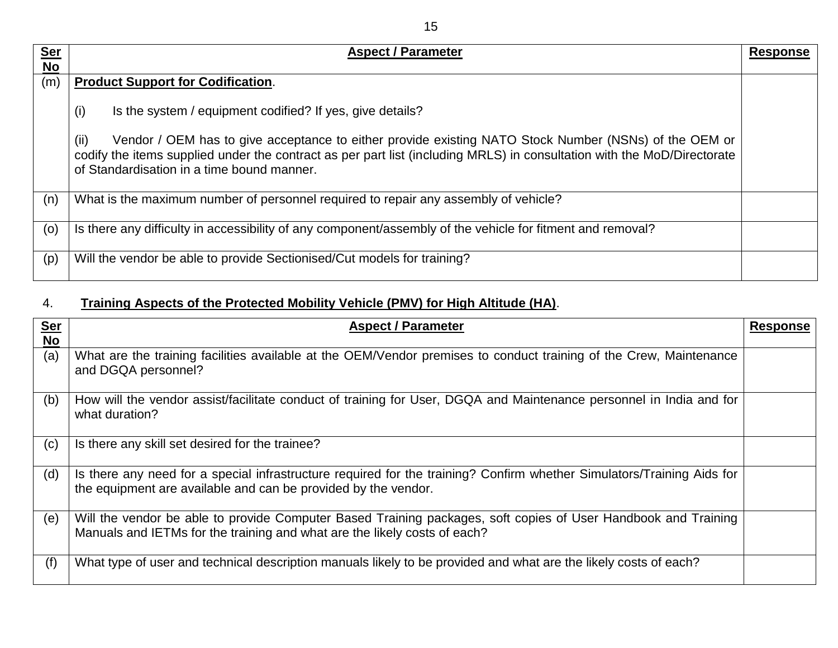| <u>Ser</u> | <b>Aspect / Parameter</b>                                                                                                                                                                                                                                                              | <b>Response</b> |
|------------|----------------------------------------------------------------------------------------------------------------------------------------------------------------------------------------------------------------------------------------------------------------------------------------|-----------------|
| $No$       |                                                                                                                                                                                                                                                                                        |                 |
| (m)        | <b>Product Support for Codification.</b>                                                                                                                                                                                                                                               |                 |
|            | (i)<br>Is the system / equipment codified? If yes, give details?                                                                                                                                                                                                                       |                 |
|            | (ii)<br>Vendor / OEM has to give acceptance to either provide existing NATO Stock Number (NSNs) of the OEM or<br>codify the items supplied under the contract as per part list (including MRLS) in consultation with the MoD/Directorate<br>of Standardisation in a time bound manner. |                 |
| (n)        | What is the maximum number of personnel required to repair any assembly of vehicle?                                                                                                                                                                                                    |                 |
| (0)        | Is there any difficulty in accessibility of any component/assembly of the vehicle for fitment and removal?                                                                                                                                                                             |                 |
| (p)        | Will the vendor be able to provide Sectionised/Cut models for training?                                                                                                                                                                                                                |                 |

# 4. **Training Aspects of the Protected Mobility Vehicle (PMV) for High Altitude (HA)**.

| <u>Ser</u> | <b>Aspect / Parameter</b>                                                                                                                                                                   | <b>Response</b> |
|------------|---------------------------------------------------------------------------------------------------------------------------------------------------------------------------------------------|-----------------|
| <b>No</b>  |                                                                                                                                                                                             |                 |
| (a)        | What are the training facilities available at the OEM/Vendor premises to conduct training of the Crew, Maintenance<br>and DGQA personnel?                                                   |                 |
| (b)        | How will the vendor assist/facilitate conduct of training for User, DGQA and Maintenance personnel in India and for<br>what duration?                                                       |                 |
| (c)        | Is there any skill set desired for the trainee?                                                                                                                                             |                 |
| (d)        | Is there any need for a special infrastructure required for the training? Confirm whether Simulators/Training Aids for<br>the equipment are available and can be provided by the vendor.    |                 |
| (e)        | Will the vendor be able to provide Computer Based Training packages, soft copies of User Handbook and Training<br>Manuals and IETMs for the training and what are the likely costs of each? |                 |
| (f)        | What type of user and technical description manuals likely to be provided and what are the likely costs of each?                                                                            |                 |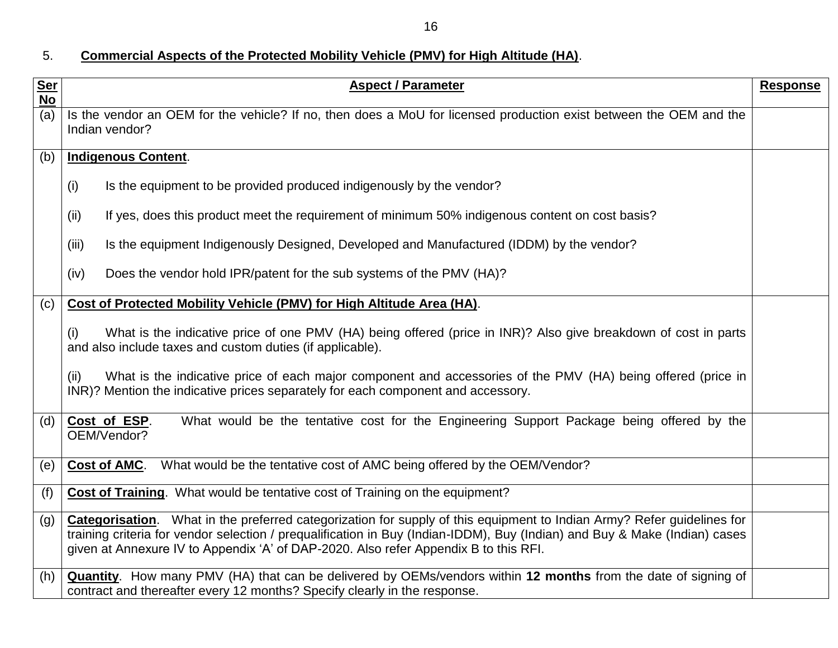16

## 5. **Commercial Aspects of the Protected Mobility Vehicle (PMV) for High Altitude (HA)**.

| <b>Ser</b><br><b>No</b> | <b>Aspect / Parameter</b>                                                                                                                                                                                                                                                                                                                    | <b>Response</b> |
|-------------------------|----------------------------------------------------------------------------------------------------------------------------------------------------------------------------------------------------------------------------------------------------------------------------------------------------------------------------------------------|-----------------|
| (a)                     | Is the vendor an OEM for the vehicle? If no, then does a MoU for licensed production exist between the OEM and the<br>Indian vendor?                                                                                                                                                                                                         |                 |
| (b)                     | <b>Indigenous Content.</b>                                                                                                                                                                                                                                                                                                                   |                 |
|                         | Is the equipment to be provided produced indigenously by the vendor?<br>(i)                                                                                                                                                                                                                                                                  |                 |
|                         | If yes, does this product meet the requirement of minimum 50% indigenous content on cost basis?<br>(ii)                                                                                                                                                                                                                                      |                 |
|                         | Is the equipment Indigenously Designed, Developed and Manufactured (IDDM) by the vendor?<br>(iii)                                                                                                                                                                                                                                            |                 |
|                         | Does the vendor hold IPR/patent for the sub systems of the PMV (HA)?<br>(iv)                                                                                                                                                                                                                                                                 |                 |
| (c)                     | Cost of Protected Mobility Vehicle (PMV) for High Altitude Area (HA).                                                                                                                                                                                                                                                                        |                 |
|                         | What is the indicative price of one PMV (HA) being offered (price in INR)? Also give breakdown of cost in parts<br>(i)<br>and also include taxes and custom duties (if applicable).                                                                                                                                                          |                 |
|                         | What is the indicative price of each major component and accessories of the PMV (HA) being offered (price in<br>(ii)<br>INR)? Mention the indicative prices separately for each component and accessory.                                                                                                                                     |                 |
| (d)                     | What would be the tentative cost for the Engineering Support Package being offered by the<br>Cost of ESP.<br>OEM/Vendor?                                                                                                                                                                                                                     |                 |
| (e)                     | What would be the tentative cost of AMC being offered by the OEM/Vendor?<br><b>Cost of AMC.</b>                                                                                                                                                                                                                                              |                 |
| (f)                     | Cost of Training. What would be tentative cost of Training on the equipment?                                                                                                                                                                                                                                                                 |                 |
| (g)                     | Categorisation. What in the preferred categorization for supply of this equipment to Indian Army? Refer guidelines for<br>training criteria for vendor selection / prequalification in Buy (Indian-IDDM), Buy (Indian) and Buy & Make (Indian) cases<br>given at Annexure IV to Appendix 'A' of DAP-2020. Also refer Appendix B to this RFI. |                 |
| (h)                     | <b>Quantity</b> . How many PMV (HA) that can be delivered by OEMs/vendors within 12 months from the date of signing of<br>contract and thereafter every 12 months? Specify clearly in the response.                                                                                                                                          |                 |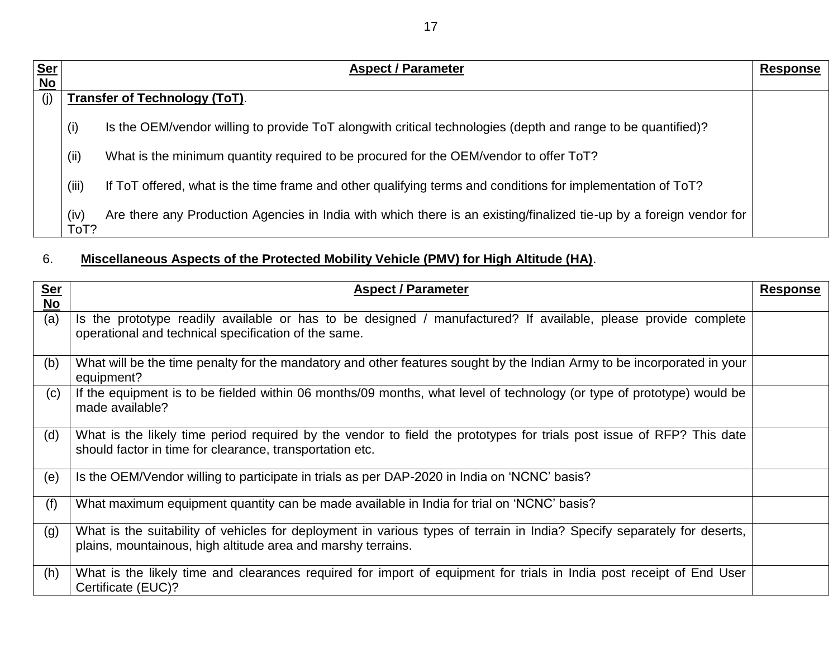| <u>Ser</u> | <b>Aspect / Parameter</b><br>Response |                                                                                                                     |  |
|------------|---------------------------------------|---------------------------------------------------------------------------------------------------------------------|--|
| <b>No</b>  |                                       |                                                                                                                     |  |
| (i)        |                                       | <b>Transfer of Technology (ToT).</b>                                                                                |  |
|            | (i)                                   | Is the OEM/vendor willing to provide ToT alongwith critical technologies (depth and range to be quantified)?        |  |
|            | (i)                                   | What is the minimum quantity required to be procured for the OEM/vendor to offer ToT?                               |  |
|            | (iii)                                 | If ToT offered, what is the time frame and other qualifying terms and conditions for implementation of ToT?         |  |
|            | (iv)<br>ToT?                          | Are there any Production Agencies in India with which there is an existing/finalized tie-up by a foreign vendor for |  |

## 6. **Miscellaneous Aspects of the Protected Mobility Vehicle (PMV) for High Altitude (HA)**.

| <u>Ser</u><br><b>No</b> | <b>Aspect / Parameter</b>                                                                                                                                                                | <b>Response</b> |
|-------------------------|------------------------------------------------------------------------------------------------------------------------------------------------------------------------------------------|-----------------|
| (a)                     | Is the prototype readily available or has to be designed / manufactured? If available, please provide complete<br>operational and technical specification of the same.                   |                 |
| (b)                     | What will be the time penalty for the mandatory and other features sought by the Indian Army to be incorporated in your<br>equipment?                                                    |                 |
| (c)                     | If the equipment is to be fielded within 06 months/09 months, what level of technology (or type of prototype) would be<br>made available?                                                |                 |
| (d)                     | What is the likely time period required by the vendor to field the prototypes for trials post issue of RFP? This date<br>should factor in time for clearance, transportation etc.        |                 |
| (e)                     | Is the OEM/Vendor willing to participate in trials as per DAP-2020 in India on 'NCNC' basis?                                                                                             |                 |
| (f)                     | What maximum equipment quantity can be made available in India for trial on 'NCNC' basis?                                                                                                |                 |
| (g)                     | What is the suitability of vehicles for deployment in various types of terrain in India? Specify separately for deserts,<br>plains, mountainous, high altitude area and marshy terrains. |                 |
| (h)                     | What is the likely time and clearances required for import of equipment for trials in India post receipt of End User<br>Certificate (EUC)?                                               |                 |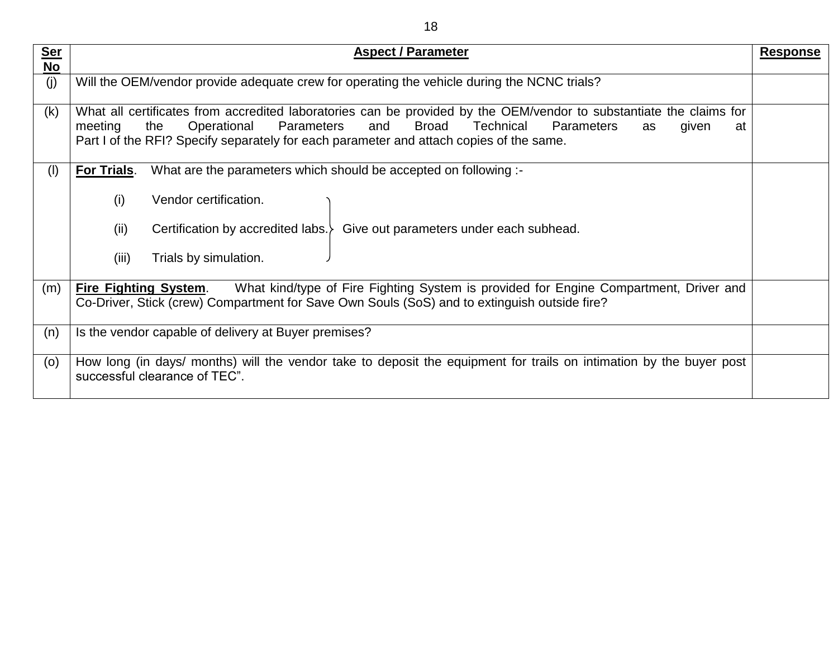| ۰. | .,<br>. .<br>۰,<br>۰, |
|----|-----------------------|
|    |                       |

| <b>Ser</b><br><b>No</b> | <b>Aspect / Parameter</b>                                                                                                                                                                                                                                                                                                                   | <b>Response</b> |
|-------------------------|---------------------------------------------------------------------------------------------------------------------------------------------------------------------------------------------------------------------------------------------------------------------------------------------------------------------------------------------|-----------------|
| (j)                     | Will the OEM/vendor provide adequate crew for operating the vehicle during the NCNC trials?                                                                                                                                                                                                                                                 |                 |
| (k)                     | What all certificates from accredited laboratories can be provided by the OEM/vendor to substantiate the claims for<br>Parameters<br>and<br>Broad<br><b>Technical</b><br><b>Parameters</b><br>the<br>Operational<br>meeting<br>given<br>as<br>at<br>Part I of the RFI? Specify separately for each parameter and attach copies of the same. |                 |
| (1)                     | For Trials.<br>What are the parameters which should be accepted on following :-                                                                                                                                                                                                                                                             |                 |
|                         | (i)<br>Vendor certification.<br>(ii)<br>Certification by accredited labs.<br>Give out parameters under each subhead.<br>Trials by simulation.<br>(iii)                                                                                                                                                                                      |                 |
| (m)                     | What kind/type of Fire Fighting System is provided for Engine Compartment, Driver and<br><b>Fire Fighting System.</b><br>Co-Driver, Stick (crew) Compartment for Save Own Souls (SoS) and to extinguish outside fire?                                                                                                                       |                 |
| (n)                     | Is the vendor capable of delivery at Buyer premises?                                                                                                                                                                                                                                                                                        |                 |
| (0)                     | How long (in days/ months) will the vendor take to deposit the equipment for trails on intimation by the buyer post<br>successful clearance of TEC".                                                                                                                                                                                        |                 |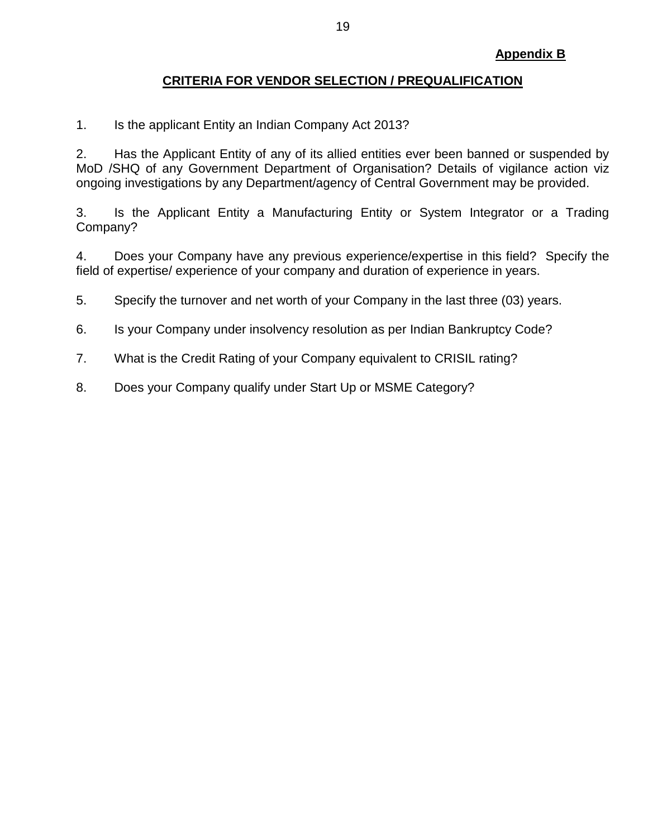#### **CRITERIA FOR VENDOR SELECTION / PREQUALIFICATION**

1. Is the applicant Entity an Indian Company Act 2013?

2. Has the Applicant Entity of any of its allied entities ever been banned or suspended by MoD /SHQ of any Government Department of Organisation? Details of vigilance action viz ongoing investigations by any Department/agency of Central Government may be provided.

3. Is the Applicant Entity a Manufacturing Entity or System Integrator or a Trading Company?

4. Does your Company have any previous experience/expertise in this field? Specify the field of expertise/ experience of your company and duration of experience in years.

- 5. Specify the turnover and net worth of your Company in the last three (03) years.
- 6. Is your Company under insolvency resolution as per Indian Bankruptcy Code?
- 7. What is the Credit Rating of your Company equivalent to CRISIL rating?
- 8. Does your Company qualify under Start Up or MSME Category?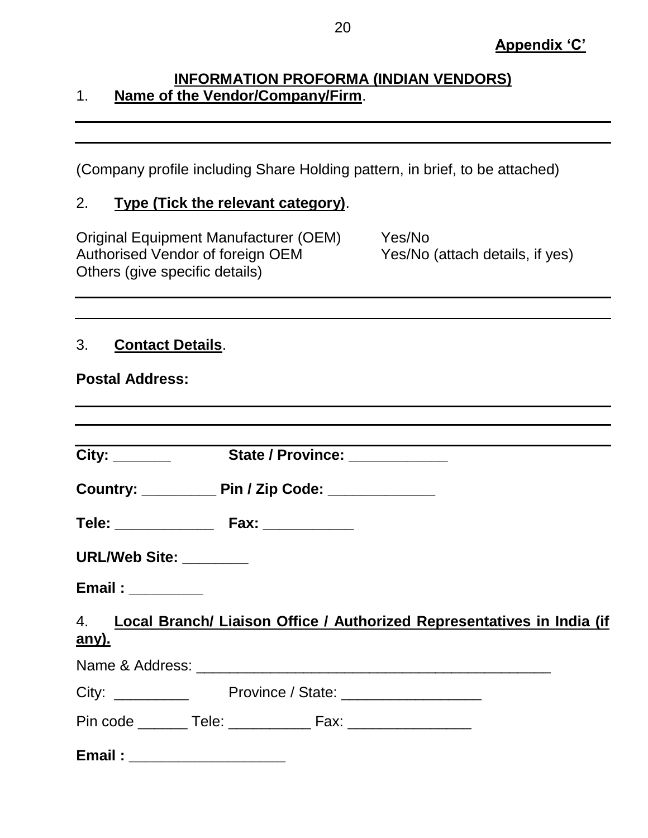## **INFORMATION PROFORMA (INDIAN VENDORS)** 1. **Name of the Vendor/Company/Firm**.

(Company profile including Share Holding pattern, in brief, to be attached)

#### 2. **Type (Tick the relevant category)**.

Original Equipment Manufacturer (OEM) Yes/No Authorised Vendor of foreign OEM Yes/No (attach details, if yes) Others (give specific details)

## 3. **Contact Details**.

**Postal Address:**

| <b>URL/Web Site: ________</b> |                                                                           |
|-------------------------------|---------------------------------------------------------------------------|
|                               |                                                                           |
|                               | 4. Local Branch/ Liaison Office / Authorized Representatives in India (if |
| <u>any).</u>                  |                                                                           |
|                               |                                                                           |
|                               |                                                                           |
|                               | Pin code ________ Tele: ______________ Fax: ___________________           |
|                               |                                                                           |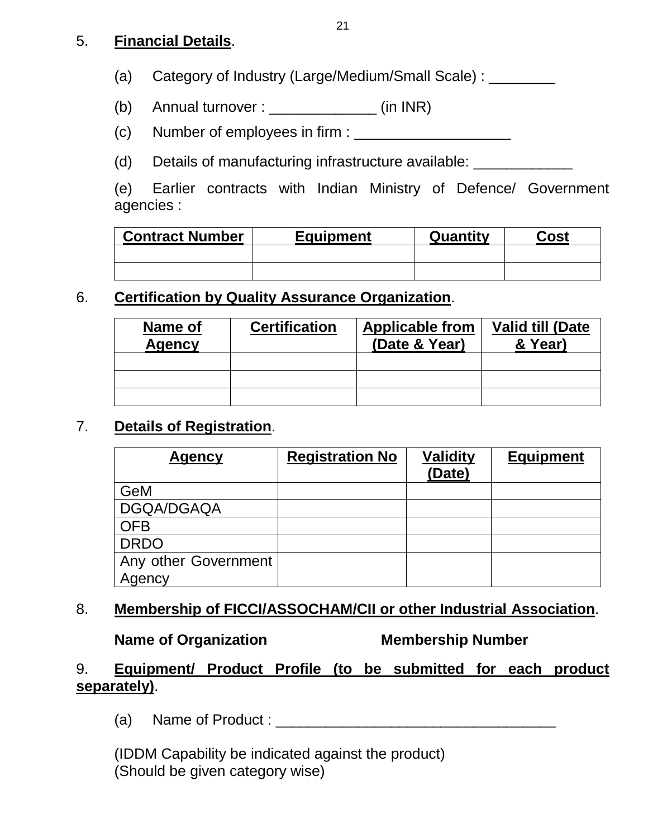#### 5. **Financial Details**.

(a) Category of Industry (Large/Medium/Small Scale) : \_\_\_\_\_\_\_\_

- (b) Annual turnover :  $\frac{1}{2}$  (in INR)
- $(c)$  Number of employees in firm :  $\frac{1}{c}$
- (d) Details of manufacturing infrastructure available: \_\_\_\_\_\_\_\_\_\_\_\_\_\_\_\_\_\_\_

(e) Earlier contracts with Indian Ministry of Defence/ Government agencies :

| <b>Contract Number</b> | <b>Equipment</b> | Quantity | Cost |
|------------------------|------------------|----------|------|
|                        |                  |          |      |
|                        |                  |          |      |

## 6. **Certification by Quality Assurance Organization**.

| Name of<br><b>Agency</b> | <b>Certification</b> | <b>Applicable from</b><br>(Date & Year) | <b>Valid till (Date</b><br>& Year) |
|--------------------------|----------------------|-----------------------------------------|------------------------------------|
|                          |                      |                                         |                                    |
|                          |                      |                                         |                                    |
|                          |                      |                                         |                                    |

#### 7. **Details of Registration**.

| <b>Agency</b>        | <b>Registration No</b> | <b>Validity</b><br>(Date) | <b>Equipment</b> |
|----------------------|------------------------|---------------------------|------------------|
| GeM                  |                        |                           |                  |
| DGQA/DGAQA           |                        |                           |                  |
| <b>OFB</b>           |                        |                           |                  |
| <b>DRDO</b>          |                        |                           |                  |
| Any other Government |                        |                           |                  |
| Agency               |                        |                           |                  |

#### 8. **Membership of FICCI/ASSOCHAM/CII or other Industrial Association**.

#### **Name of Organization Membership Number**

## 9. **Equipment/ Product Profile (to be submitted for each product separately)**.

(a) Name of Product : \_\_\_\_\_\_\_\_\_\_\_\_\_\_\_\_\_\_\_\_\_\_\_\_\_\_\_\_\_\_\_\_\_\_

(IDDM Capability be indicated against the product) (Should be given category wise)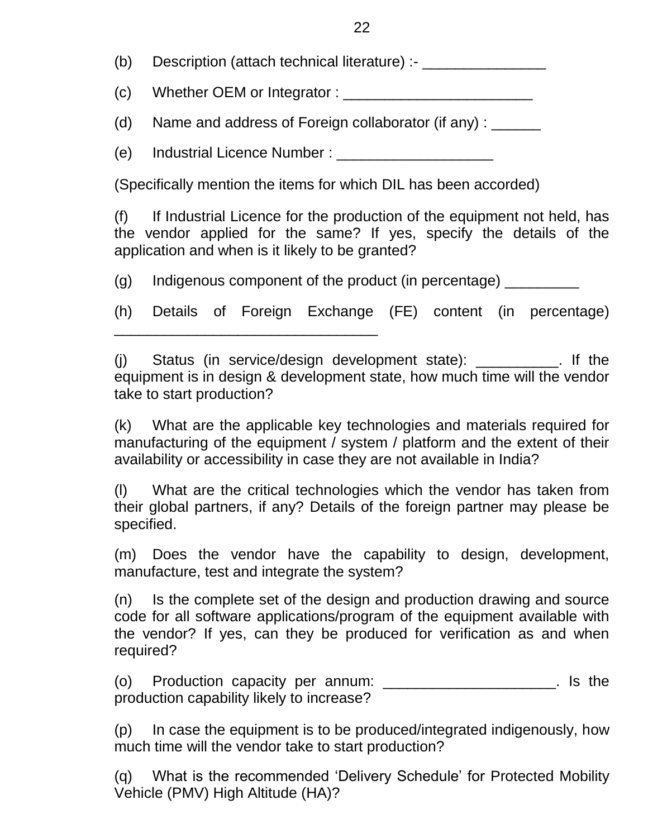(b) Description (attach technical literature) :- \_\_\_\_\_\_\_\_\_\_\_\_\_\_\_\_\_\_\_\_\_\_\_\_\_\_\_\_\_\_\_

 $(c)$  Whether OEM or Integrator :

(d) Name and address of Foreign collaborator (if any) :

(e) Industrial Licence Number : \_\_\_\_\_\_\_\_\_\_\_\_\_\_\_\_\_\_\_

\_\_\_\_\_\_\_\_\_\_\_\_\_\_\_\_\_\_\_\_\_\_\_\_\_\_\_\_\_\_\_\_

(Specifically mention the items for which DIL has been accorded)

(f) If Industrial Licence for the production of the equipment not held, has the vendor applied for the same? If yes, specify the details of the application and when is it likely to be granted?

(g) Indigenous component of the product (in percentage) \_\_\_\_\_\_\_\_\_

(h) Details of Foreign Exchange (FE) content (in percentage)

(j) Status (in service/design development state): \_\_\_\_\_\_\_\_\_\_. If the equipment is in design & development state, how much time will the vendor take to start production?

(k) What are the applicable key technologies and materials required for manufacturing of the equipment / system / platform and the extent of their availability or accessibility in case they are not available in India?

(l) What are the critical technologies which the vendor has taken from their global partners, if any? Details of the foreign partner may please be specified.

(m) Does the vendor have the capability to design, development, manufacture, test and integrate the system?

(n) Is the complete set of the design and production drawing and source code for all software applications/program of the equipment available with the vendor? If yes, can they be produced for verification as and when required?

(o) Production capacity per annum: \_\_\_\_\_\_\_\_\_\_\_\_\_\_\_\_\_\_\_\_\_. Is the production capability likely to increase?

(p) In case the equipment is to be produced/integrated indigenously, how much time will the vendor take to start production?

(q) What is the recommended 'Delivery Schedule' for Protected Mobility Vehicle (PMV) High Altitude (HA)?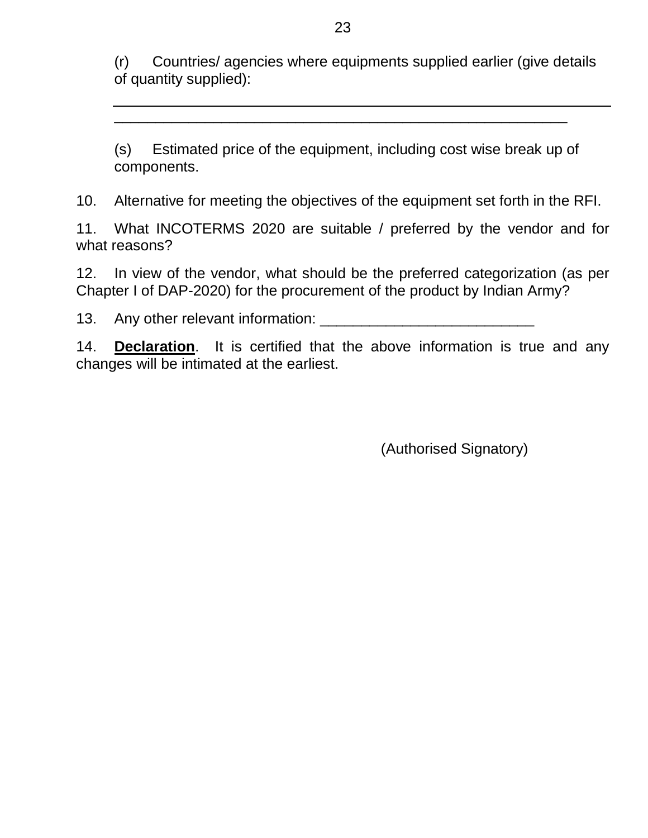(r) Countries/ agencies where equipments supplied earlier (give details of quantity supplied):

(s) Estimated price of the equipment, including cost wise break up of components.

\_\_\_\_\_\_\_\_\_\_\_\_\_\_\_\_\_\_\_\_\_\_\_\_\_\_\_\_\_\_\_\_\_\_\_\_\_\_\_\_\_\_\_\_\_\_\_\_\_\_\_\_\_\_\_

10. Alternative for meeting the objectives of the equipment set forth in the RFI.

11. What INCOTERMS 2020 are suitable / preferred by the vendor and for what reasons?

12. In view of the vendor, what should be the preferred categorization (as per Chapter I of DAP-2020) for the procurement of the product by Indian Army?

13. Any other relevant information: \_\_\_\_\_\_\_\_\_\_\_\_\_\_\_\_\_\_\_\_\_\_\_\_\_\_

14. **Declaration**. It is certified that the above information is true and any changes will be intimated at the earliest.

(Authorised Signatory)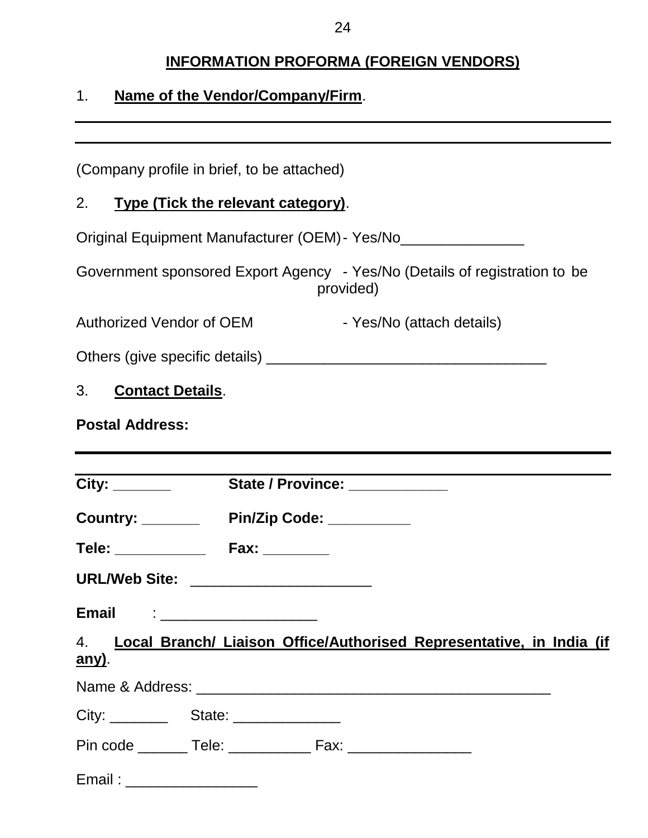# **INFORMATION PROFORMA (FOREIGN VENDORS)**

# 1. **Name of the Vendor/Company/Firm**.

| (Company profile in brief, to be attached)                                               |  |
|------------------------------------------------------------------------------------------|--|
| 2. Type (Tick the relevant category).                                                    |  |
| Original Equipment Manufacturer (OEM) - Yes/No__________________                         |  |
| Government sponsored Export Agency - Yes/No (Details of registration to be<br>provided)  |  |
| - Yes/No (attach details)<br><b>Authorized Vendor of OEM</b>                             |  |
|                                                                                          |  |
| 3. Contact Details.                                                                      |  |
| <b>Postal Address:</b>                                                                   |  |
|                                                                                          |  |
| State / Province:                                                                        |  |
| Country: Pin/Zip Code: _______                                                           |  |
| Tele: _______________ Fax: _________                                                     |  |
| URL/Web Site: ______________________                                                     |  |
| <b>Email</b>                                                                             |  |
| 4. Local Branch/ Liaison Office/Authorised Representative, in India (if<br><u>any)</u> . |  |
|                                                                                          |  |
|                                                                                          |  |
| Pin code ________ Tele: _______________ Fax: ___________________________________         |  |
| Email: ___________________                                                               |  |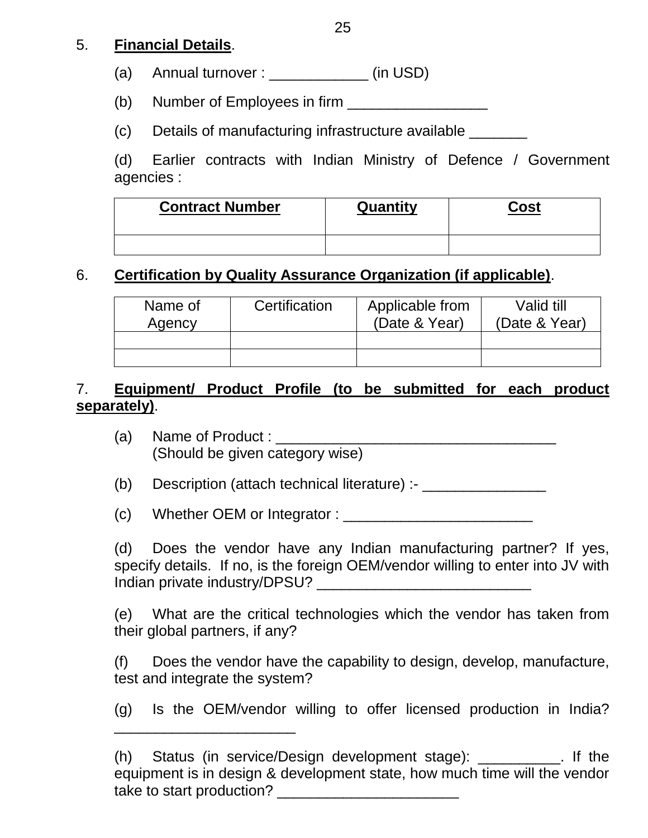## 5. **Financial Details**.

(a) Annual turnover :  $\qquad \qquad$  (in USD)

(b) Number of Employees in firm \_\_\_\_\_\_\_\_\_\_\_\_\_\_\_\_\_

(c) Details of manufacturing infrastructure available \_\_\_\_\_\_\_

(d) Earlier contracts with Indian Ministry of Defence / Government agencies :

| <b>Contract Number</b> | Quantity | Cost |
|------------------------|----------|------|
|                        |          |      |

## 6. **Certification by Quality Assurance Organization (if applicable)**.

| Name of<br>Agency | Certification |  | Valid till<br>(Date & Year) |  |
|-------------------|---------------|--|-----------------------------|--|
|                   |               |  |                             |  |
|                   |               |  |                             |  |

## 7. **Equipment/ Product Profile (to be submitted for each product separately)**.

(a) Name of Product : (Should be given category wise)

(b) Description (attach technical literature) :-

 $(c)$  Whether OEM or Integrator :  $\frac{1}{c}$ 

(d) Does the vendor have any Indian manufacturing partner? If yes, specify details. If no, is the foreign OEM/vendor willing to enter into JV with Indian private industry/DPSU? \_\_\_\_\_\_\_\_\_\_\_\_\_\_\_\_\_\_\_\_\_\_\_\_\_\_

(e) What are the critical technologies which the vendor has taken from their global partners, if any?

(f) Does the vendor have the capability to design, develop, manufacture, test and integrate the system?

(g) Is the OEM/vendor willing to offer licensed production in India?

\_\_\_\_\_\_\_\_\_\_\_\_\_\_\_\_\_\_\_\_\_\_

<sup>(</sup>h) Status (in service/Design development stage): \_\_\_\_\_\_\_\_\_\_. If the equipment is in design & development state, how much time will the vendor take to start production? **Example 20**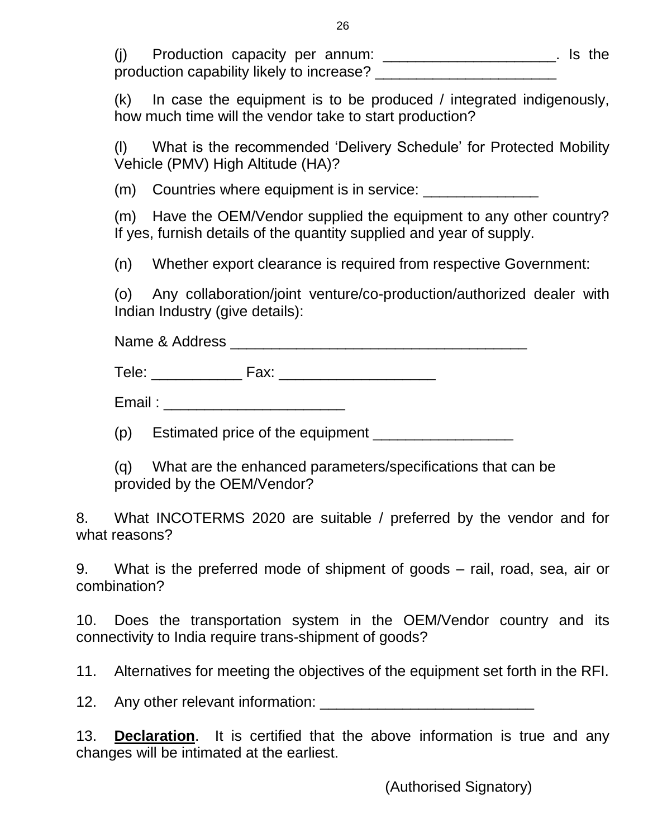| Production capacity per annum:            |  |  | . Is the |
|-------------------------------------------|--|--|----------|
| production capability likely to increase? |  |  |          |

(k) In case the equipment is to be produced / integrated indigenously, how much time will the vendor take to start production?

(l) What is the recommended 'Delivery Schedule' for Protected Mobility Vehicle (PMV) High Altitude (HA)?

(m) Countries where equipment is in service: \_\_\_\_\_\_\_\_\_\_\_\_\_\_\_\_\_\_\_\_\_\_\_\_\_\_\_\_\_\_\_\_\_\_\_

(m) Have the OEM/Vendor supplied the equipment to any other country? If yes, furnish details of the quantity supplied and year of supply.

(n) Whether export clearance is required from respective Government:

(o) Any collaboration/joint venture/co-production/authorized dealer with Indian Industry (give details):

Name & Address **Example 3** 

Tele: \_\_\_\_\_\_\_\_\_\_\_ Fax: \_\_\_\_\_\_\_\_\_\_\_\_\_\_\_\_\_\_\_

Email : \_\_\_\_\_\_\_\_\_\_\_\_\_\_\_\_\_\_\_\_\_\_

(p) Estimated price of the equipment **constant** 

(q) What are the enhanced parameters/specifications that can be provided by the OEM/Vendor?

8. What INCOTERMS 2020 are suitable / preferred by the vendor and for what reasons?

9. What is the preferred mode of shipment of goods – rail, road, sea, air or combination?

10. Does the transportation system in the OEM/Vendor country and its connectivity to India require trans-shipment of goods?

11. Alternatives for meeting the objectives of the equipment set forth in the RFI.

12. Any other relevant information: \_\_\_\_\_\_\_\_\_\_\_\_\_\_\_\_\_\_\_\_\_\_\_\_\_\_

13. **Declaration**. It is certified that the above information is true and any changes will be intimated at the earliest.

(Authorised Signatory)

26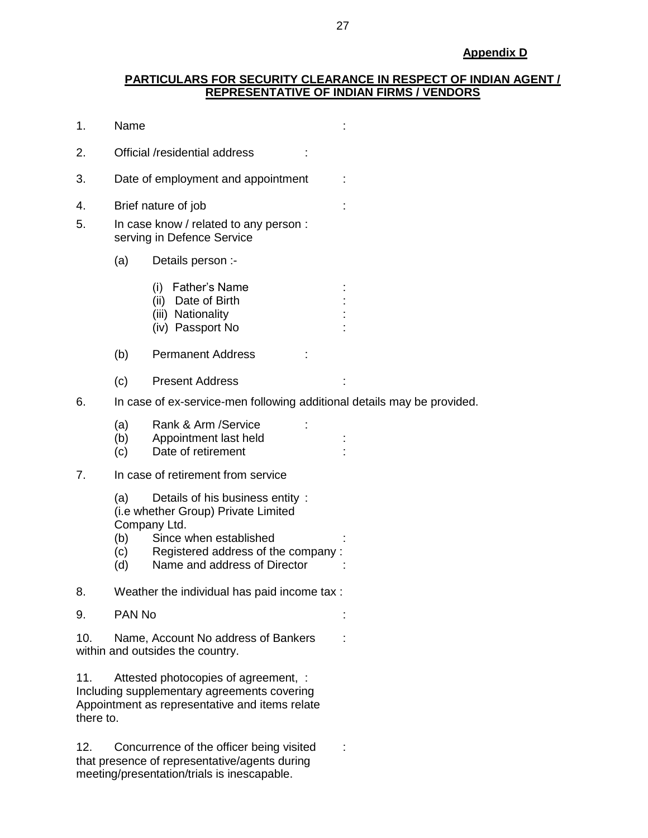#### **PARTICULARS FOR SECURITY CLEARANCE IN RESPECT OF INDIAN AGENT / REPRESENTATIVE OF INDIAN FIRMS / VENDORS**

| 1.               | Name                                                                    |                                                                                                                                                                                        |  |  |  |  |  |  |
|------------------|-------------------------------------------------------------------------|----------------------------------------------------------------------------------------------------------------------------------------------------------------------------------------|--|--|--|--|--|--|
| 2.               |                                                                         | Official /residential address                                                                                                                                                          |  |  |  |  |  |  |
| 3.               |                                                                         | Date of employment and appointment                                                                                                                                                     |  |  |  |  |  |  |
| 4.<br>5.         |                                                                         | Brief nature of job<br>In case know / related to any person :<br>serving in Defence Service                                                                                            |  |  |  |  |  |  |
|                  | (a)                                                                     | Details person :-                                                                                                                                                                      |  |  |  |  |  |  |
|                  |                                                                         | (i) Father's Name<br>(ii) Date of Birth<br>(iii) Nationality<br>(iv) Passport No                                                                                                       |  |  |  |  |  |  |
|                  | (b)                                                                     | <b>Permanent Address</b>                                                                                                                                                               |  |  |  |  |  |  |
|                  | (c)                                                                     | <b>Present Address</b>                                                                                                                                                                 |  |  |  |  |  |  |
| 6.               | In case of ex-service-men following additional details may be provided. |                                                                                                                                                                                        |  |  |  |  |  |  |
|                  | (a)<br>(b)<br>(c)                                                       | Rank & Arm / Service<br>Appointment last held<br>Date of retirement                                                                                                                    |  |  |  |  |  |  |
| 7.               |                                                                         | In case of retirement from service                                                                                                                                                     |  |  |  |  |  |  |
|                  | (a)<br>(b)<br>(c)<br>(d)                                                | Details of his business entity:<br>(i.e whether Group) Private Limited<br>Company Ltd.<br>Since when established<br>Registered address of the company:<br>Name and address of Director |  |  |  |  |  |  |
| 8.               |                                                                         | Weather the individual has paid income tax :                                                                                                                                           |  |  |  |  |  |  |
| 9.               | PAN No                                                                  |                                                                                                                                                                                        |  |  |  |  |  |  |
| 10.              |                                                                         | Name, Account No address of Bankers<br>within and outsides the country.                                                                                                                |  |  |  |  |  |  |
| 11.<br>there to. |                                                                         | Attested photocopies of agreement, :<br>Including supplementary agreements covering<br>Appointment as representative and items relate                                                  |  |  |  |  |  |  |
| 12.              |                                                                         | Concurrence of the officer being visited                                                                                                                                               |  |  |  |  |  |  |

that presence of representative/agents during meeting/presentation/trials is inescapable.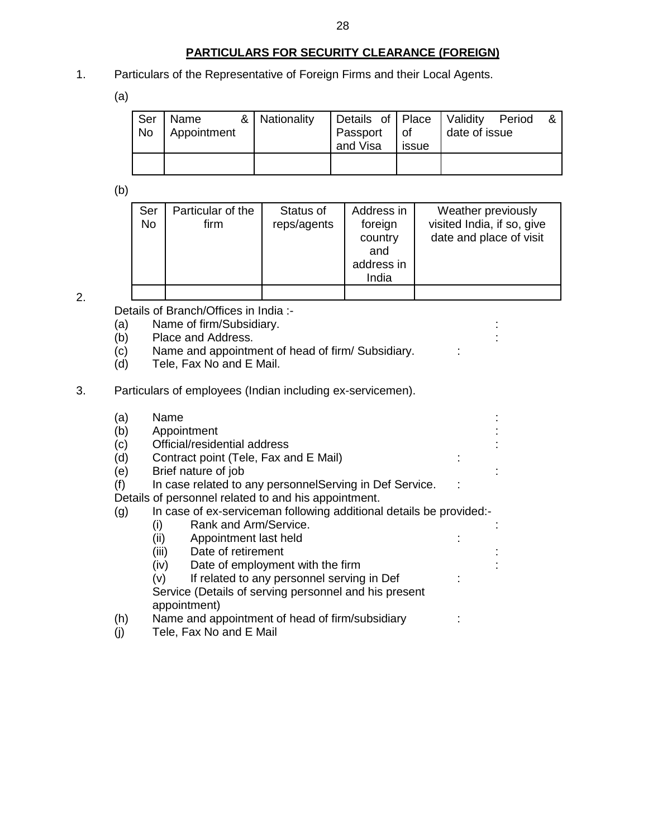#### **PARTICULARS FOR SECURITY CLEARANCE (FOREIGN)**

1. Particulars of the Representative of Foreign Firms and their Local Agents.

(a)

| Ser<br>No | Name<br>Appointment | & Nationality | Details of Place Validity Period<br>Passport<br>and Visa | l of<br>issue | date of issue |  |
|-----------|---------------------|---------------|----------------------------------------------------------|---------------|---------------|--|
|           |                     |               |                                                          |               |               |  |

(b)

| Ser<br><b>No</b> | Particular of the<br>firm | Status of<br>reps/agents | Address in<br>foreign<br>country<br>and<br>address in<br>India | Weather previously<br>visited India, if so, give<br>date and place of visit |
|------------------|---------------------------|--------------------------|----------------------------------------------------------------|-----------------------------------------------------------------------------|
|                  |                           |                          |                                                                |                                                                             |

2.

Details of Branch/Offices in India :-

- (a) Name of firm/Subsidiary.<br>
(b) Place and Address.
- Place and Address.
- $\overrightarrow{c}$  Name and appointment of head of firm/ Subsidiary.  $\overrightarrow{c}$ :
- (d) Tele, Fax No and E Mail.
- 3. Particulars of employees (Indian including ex-servicemen).

| (a) | Name                                                                |  |
|-----|---------------------------------------------------------------------|--|
| (b) | Appointment                                                         |  |
| (c) | Official/residential address                                        |  |
| (d) | Contract point (Tele, Fax and E Mail)                               |  |
| (e) | Brief nature of job                                                 |  |
| (f) | In case related to any personnel Serving in Def Service.            |  |
|     | Details of personnel related to and his appointment.                |  |
| (g) | In case of ex-serviceman following additional details be provided:- |  |
|     | Rank and Arm/Service.<br>(i)                                        |  |
|     | (ii)<br>Appointment last held                                       |  |
|     | Date of retirement<br>(iii)                                         |  |
|     | (iv)<br>Date of employment with the firm                            |  |
|     | If related to any personnel serving in Def<br>(v)                   |  |
|     | Service (Details of serving personnel and his present               |  |
|     | appointment)                                                        |  |
| (h) | Name and appointment of head of firm/subsidiary                     |  |
| (j) | Tele, Fax No and E Mail                                             |  |